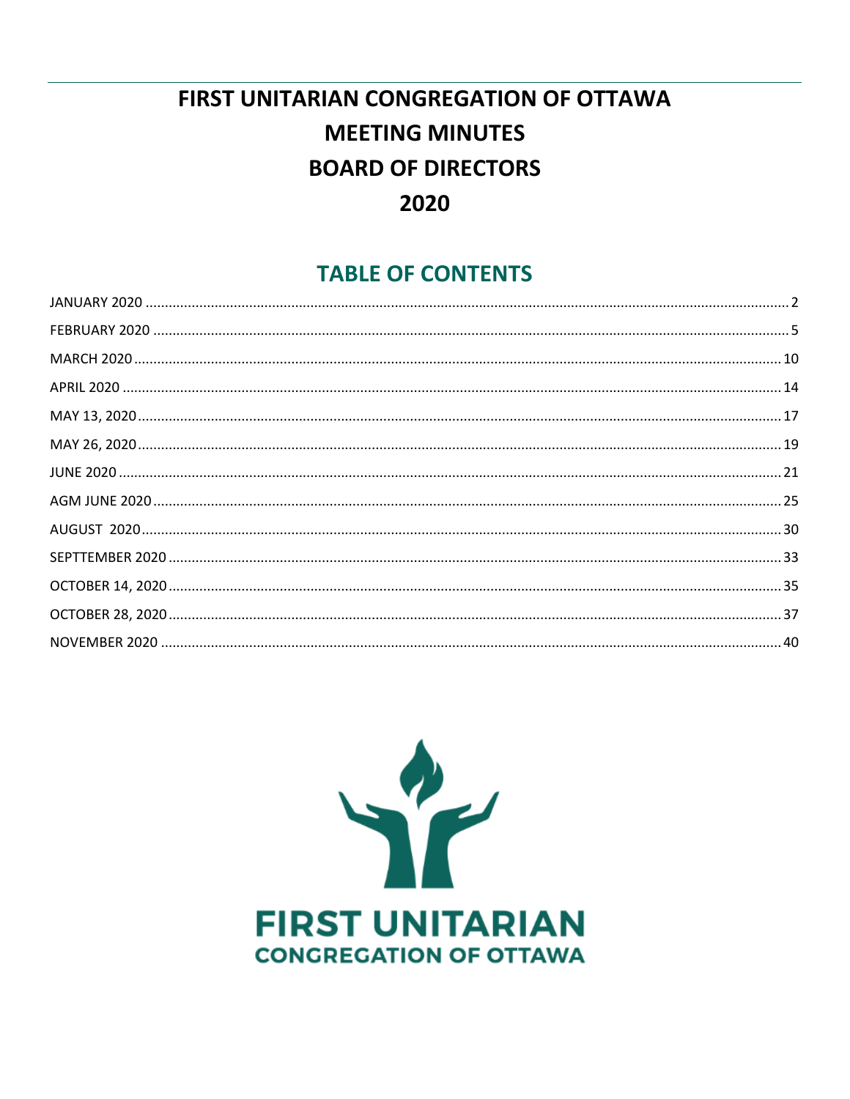# **FIRST UNITARIAN CONGREGATION OF OTTAWA MEETING MINUTES BOARD OF DIRECTORS** 2020

# **TABLE OF CONTENTS**

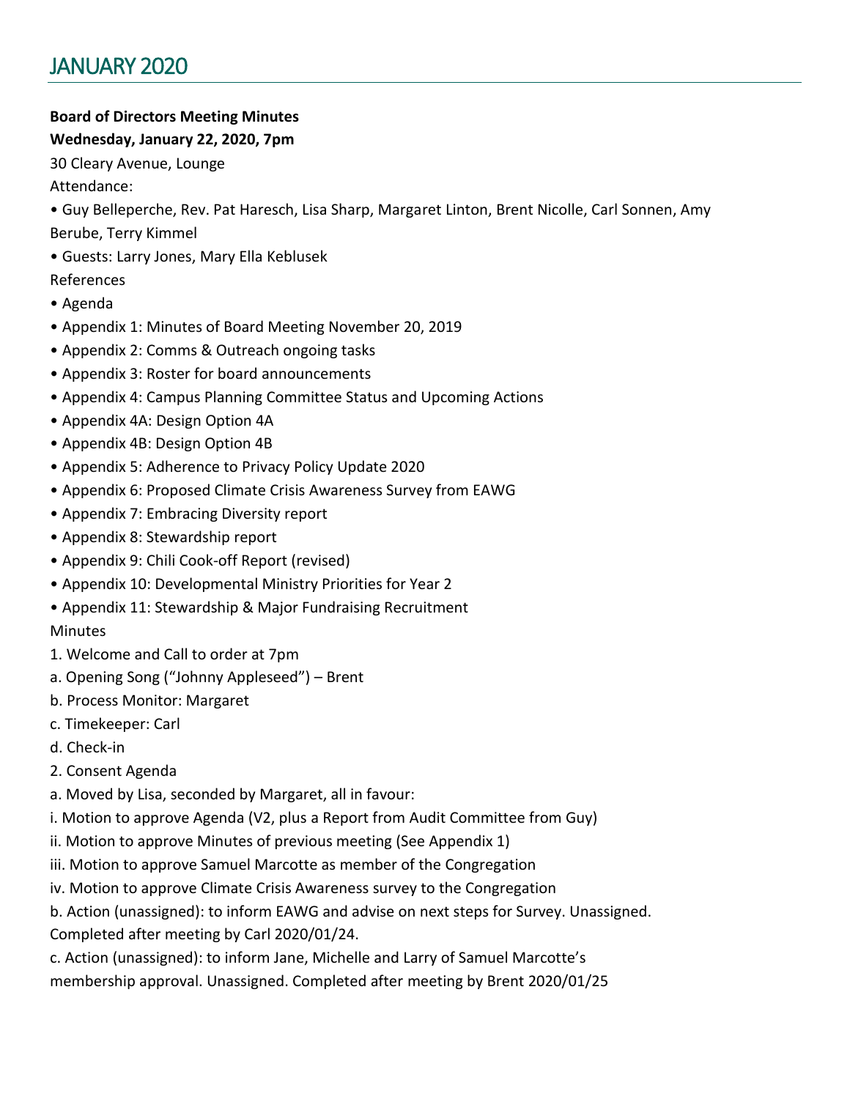# <span id="page-1-0"></span>**Board of Directors Meeting Minutes**

#### **Wednesday, January 22, 2020, 7pm**

30 Cleary Avenue, Lounge

Attendance:

- Guy Belleperche, Rev. Pat Haresch, Lisa Sharp, Margaret Linton, Brent Nicolle, Carl Sonnen, Amy Berube, Terry Kimmel
- Guests: Larry Jones, Mary Ella Keblusek

References

- Agenda
- Appendix 1: Minutes of Board Meeting November 20, 2019
- Appendix 2: Comms & Outreach ongoing tasks
- Appendix 3: Roster for board announcements
- Appendix 4: Campus Planning Committee Status and Upcoming Actions
- Appendix 4A: Design Option 4A
- Appendix 4B: Design Option 4B
- Appendix 5: Adherence to Privacy Policy Update 2020
- Appendix 6: Proposed Climate Crisis Awareness Survey from EAWG
- Appendix 7: Embracing Diversity report
- Appendix 8: Stewardship report
- Appendix 9: Chili Cook-off Report (revised)
- Appendix 10: Developmental Ministry Priorities for Year 2
- Appendix 11: Stewardship & Major Fundraising Recruitment

### **Minutes**

- 1. Welcome and Call to order at 7pm
- a. Opening Song ("Johnny Appleseed") Brent
- b. Process Monitor: Margaret
- c. Timekeeper: Carl
- d. Check-in
- 2. Consent Agenda
- a. Moved by Lisa, seconded by Margaret, all in favour:
- i. Motion to approve Agenda (V2, plus a Report from Audit Committee from Guy)
- ii. Motion to approve Minutes of previous meeting (See Appendix 1)
- iii. Motion to approve Samuel Marcotte as member of the Congregation
- iv. Motion to approve Climate Crisis Awareness survey to the Congregation
- b. Action (unassigned): to inform EAWG and advise on next steps for Survey. Unassigned. Completed after meeting by Carl 2020/01/24.
- c. Action (unassigned): to inform Jane, Michelle and Larry of Samuel Marcotte's
- membership approval. Unassigned. Completed after meeting by Brent 2020/01/25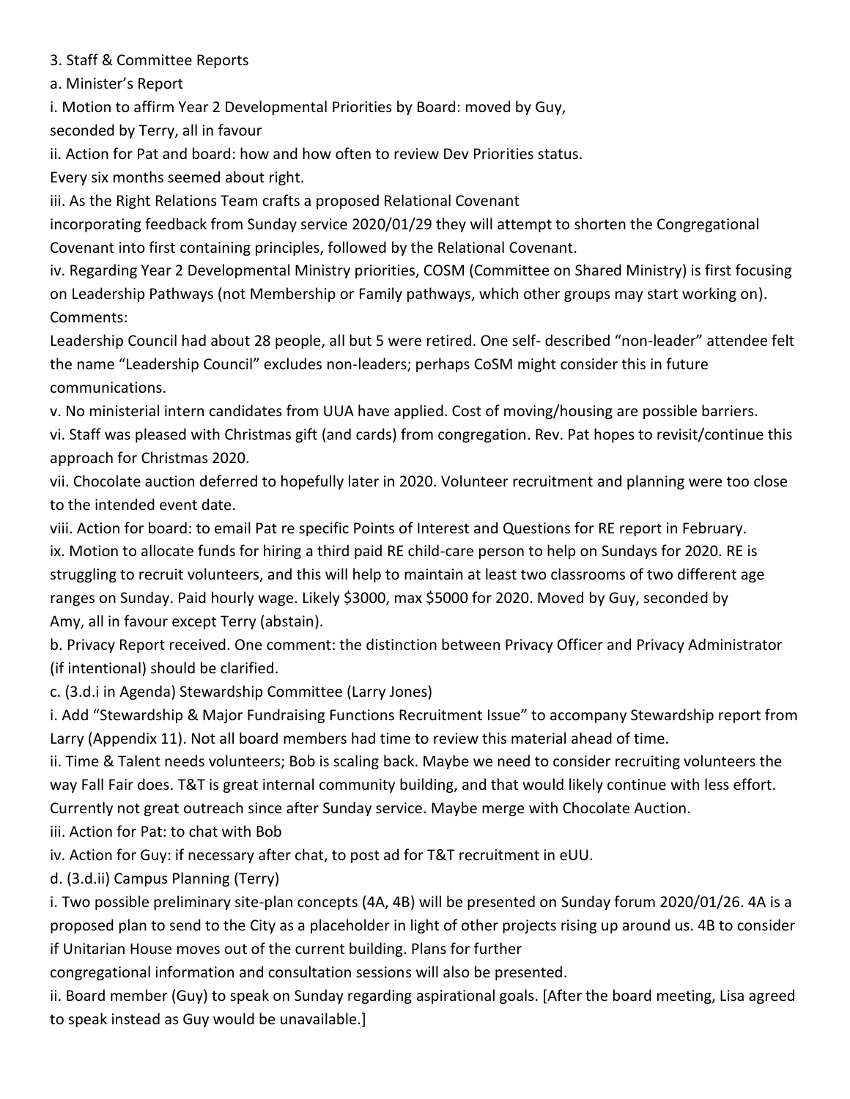3. Staff & Committee Reports

a. Minister's Report

i. Motion to affirm Year 2 Developmental Priorities by Board: moved by Guy,

seconded by Terry, all in favour

ii. Action for Pat and board: how and how often to review Dev Priorities status.

Every six months seemed about right.

iii. As the Right Relations Team crafts a proposed Relational Covenant

incorporating feedback from Sunday service 2020/01/29 they will attempt to shorten the Congregational Covenant into first containing principles, followed by the Relational Covenant.

iv. Regarding Year 2 Developmental Ministry priorities, COSM (Committee on Shared Ministry) is first focusing on Leadership Pathways (not Membership or Family pathways, which other groups may start working on). Comments:

Leadership Council had about 28 people, all but 5 were retired. One self- described "non-leader" attendee felt the name "Leadership Council" excludes non-leaders; perhaps CoSM might consider this in future communications.

v. No ministerial intern candidates from UUA have applied. Cost of moving/housing are possible barriers.

vi. Staff was pleased with Christmas gift (and cards) from congregation. Rev. Pat hopes to revisit/continue this approach for Christmas 2020.

vii. Chocolate auction deferred to hopefully later in 2020. Volunteer recruitment and planning were too close to the intended event date.

viii. Action for board: to email Pat re specific Points of Interest and Questions for RE report in February. ix. Motion to allocate funds for hiring a third paid RE child-care person to help on Sundays for 2020. RE is struggling to recruit volunteers, and this will help to maintain at least two classrooms of two different age ranges on Sunday. Paid hourly wage. Likely \$3000, max \$5000 for 2020. Moved by Guy, seconded by Amy, all in favour except Terry (abstain).

b. Privacy Report received. One comment: the distinction between Privacy Officer and Privacy Administrator (if intentional) should be clarified.

c. (3.d.i in Agenda) Stewardship Committee (Larry Jones)

i. Add "Stewardship & Major Fundraising Functions Recruitment Issue" to accompany Stewardship report from Larry (Appendix 11). Not all board members had time to review this material ahead of time.

ii. Time & Talent needs volunteers; Bob is scaling back. Maybe we need to consider recruiting volunteers the way Fall Fair does. T&T is great internal community building, and that would likely continue with less effort. Currently not great outreach since after Sunday service. Maybe merge with Chocolate Auction.

iii. Action for Pat: to chat with Bob

iv. Action for Guy: if necessary after chat, to post ad for T&T recruitment in eUU.

d. (3.d.ii) Campus Planning (Terry)

i. Two possible preliminary site-plan concepts (4A, 4B) will be presented on Sunday forum 2020/01/26. 4A is a proposed plan to send to the City as a placeholder in light of other projects rising up around us. 4B to consider if Unitarian House moves out of the current building. Plans for further

congregational information and consultation sessions will also be presented.

ii. Board member (Guy) to speak on Sunday regarding aspirational goals. [After the board meeting, Lisa agreed to speak instead as Guy would be unavailable.]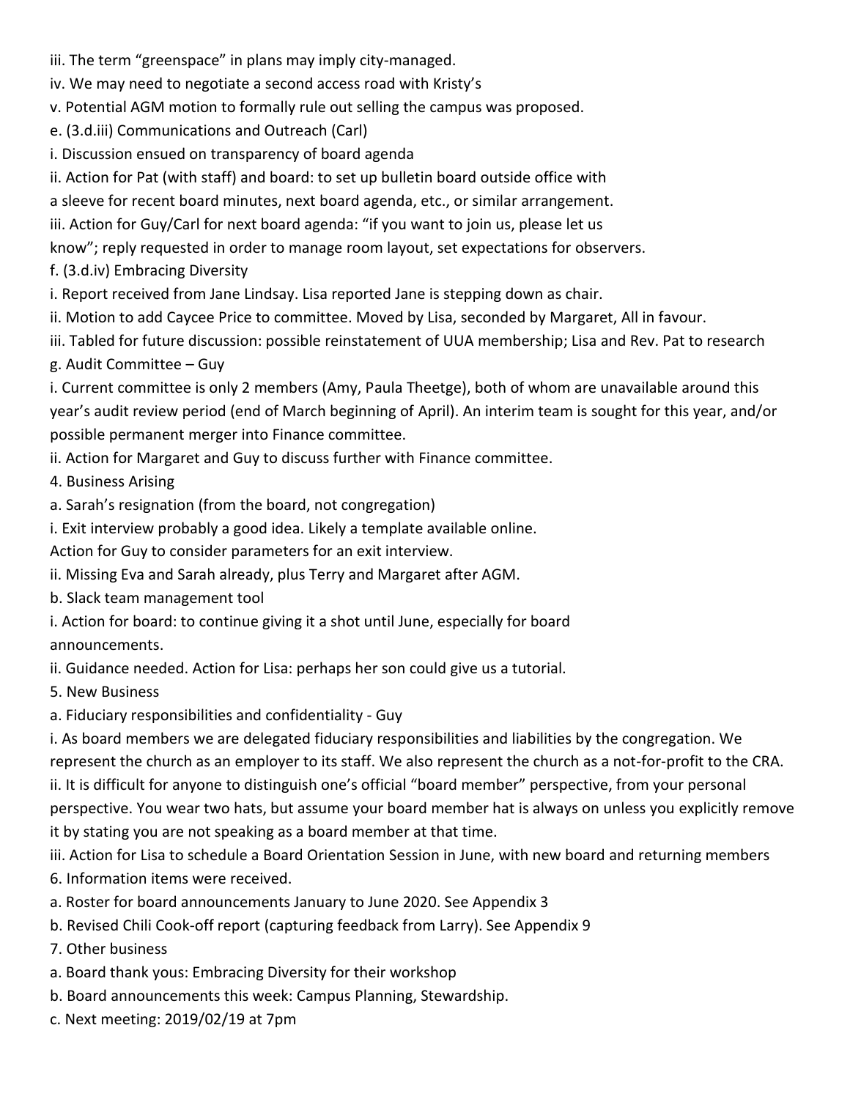- iii. The term "greenspace" in plans may imply city-managed.
- iv. We may need to negotiate a second access road with Kristy's
- v. Potential AGM motion to formally rule out selling the campus was proposed.
- e. (3.d.iii) Communications and Outreach (Carl)
- i. Discussion ensued on transparency of board agenda
- ii. Action for Pat (with staff) and board: to set up bulletin board outside office with
- a sleeve for recent board minutes, next board agenda, etc., or similar arrangement.
- iii. Action for Guy/Carl for next board agenda: "if you want to join us, please let us
- know"; reply requested in order to manage room layout, set expectations for observers.
- f. (3.d.iv) Embracing Diversity
- i. Report received from Jane Lindsay. Lisa reported Jane is stepping down as chair.
- ii. Motion to add Caycee Price to committee. Moved by Lisa, seconded by Margaret, All in favour.
- iii. Tabled for future discussion: possible reinstatement of UUA membership; Lisa and Rev. Pat to research
- g. Audit Committee Guy
- i. Current committee is only 2 members (Amy, Paula Theetge), both of whom are unavailable around this year's audit review period (end of March beginning of April). An interim team is sought for this year, and/or possible permanent merger into Finance committee.
- ii. Action for Margaret and Guy to discuss further with Finance committee.
- 4. Business Arising
- a. Sarah's resignation (from the board, not congregation)
- i. Exit interview probably a good idea. Likely a template available online.
- Action for Guy to consider parameters for an exit interview.
- ii. Missing Eva and Sarah already, plus Terry and Margaret after AGM.
- b. Slack team management tool
- i. Action for board: to continue giving it a shot until June, especially for board announcements.
- ii. Guidance needed. Action for Lisa: perhaps her son could give us a tutorial.
- 5. New Business
- a. Fiduciary responsibilities and confidentiality Guy
- i. As board members we are delegated fiduciary responsibilities and liabilities by the congregation. We represent the church as an employer to its staff. We also represent the church as a not-for-profit to the CRA.
- ii. It is difficult for anyone to distinguish one's official "board member" perspective, from your personal perspective. You wear two hats, but assume your board member hat is always on unless you explicitly remove it by stating you are not speaking as a board member at that time.
- iii. Action for Lisa to schedule a Board Orientation Session in June, with new board and returning members 6. Information items were received.
- a. Roster for board announcements January to June 2020. See Appendix 3
- b. Revised Chili Cook-off report (capturing feedback from Larry). See Appendix 9
- 7. Other business
- a. Board thank yous: Embracing Diversity for their workshop
- b. Board announcements this week: Campus Planning, Stewardship.
- c. Next meeting: 2019/02/19 at 7pm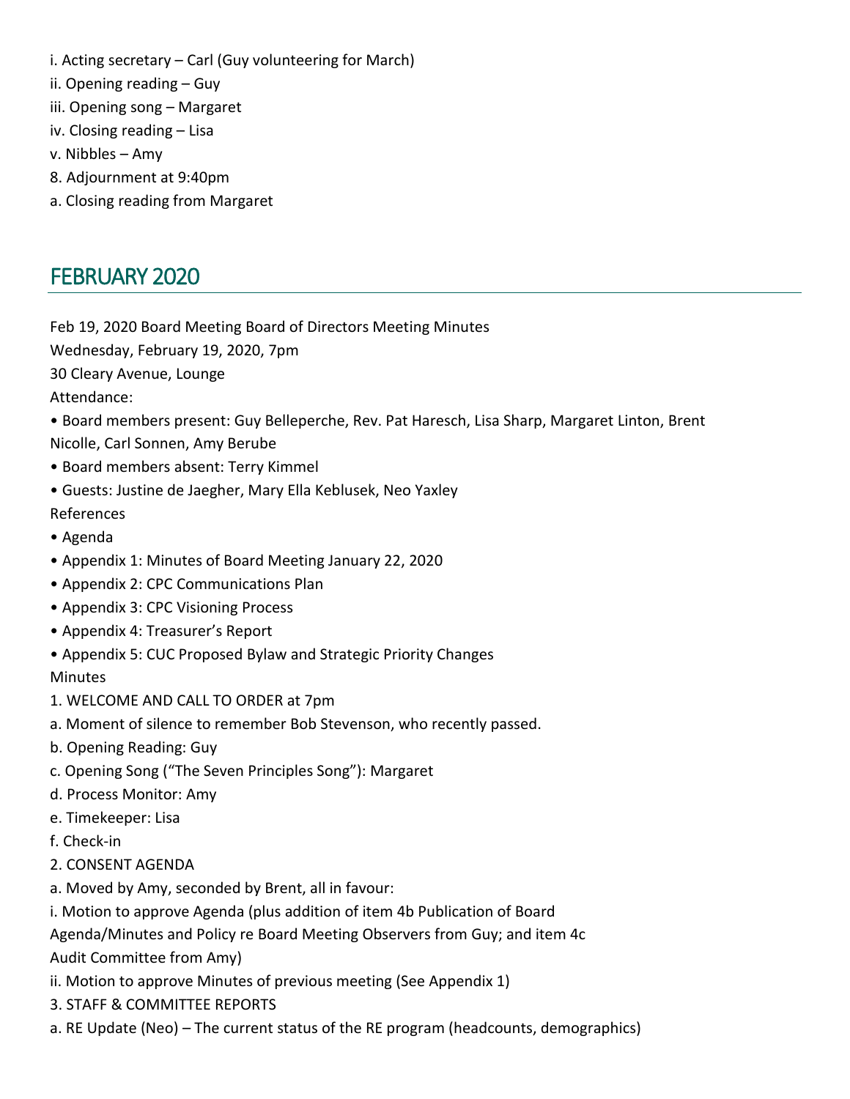- i. Acting secretary Carl (Guy volunteering for March)
- ii. Opening reading Guy
- iii. Opening song Margaret
- iv. Closing reading Lisa
- v. Nibbles Amy
- 8. Adjournment at 9:40pm
- a. Closing reading from Margaret

# <span id="page-4-0"></span>FEBRUARY 2020

Feb 19, 2020 Board Meeting Board of Directors Meeting Minutes

Wednesday, February 19, 2020, 7pm

30 Cleary Avenue, Lounge

Attendance:

- Board members present: Guy Belleperche, Rev. Pat Haresch, Lisa Sharp, Margaret Linton, Brent Nicolle, Carl Sonnen, Amy Berube
- Board members absent: Terry Kimmel
- Guests: Justine de Jaegher, Mary Ella Keblusek, Neo Yaxley
- References
- Agenda
- Appendix 1: Minutes of Board Meeting January 22, 2020
- Appendix 2: CPC Communications Plan
- Appendix 3: CPC Visioning Process
- Appendix 4: Treasurer's Report
- Appendix 5: CUC Proposed Bylaw and Strategic Priority Changes

**Minutes** 

- 1. WELCOME AND CALL TO ORDER at 7pm
- a. Moment of silence to remember Bob Stevenson, who recently passed.
- b. Opening Reading: Guy
- c. Opening Song ("The Seven Principles Song"): Margaret
- d. Process Monitor: Amy
- e. Timekeeper: Lisa
- f. Check-in
- 2. CONSENT AGENDA
- a. Moved by Amy, seconded by Brent, all in favour:
- i. Motion to approve Agenda (plus addition of item 4b Publication of Board

Agenda/Minutes and Policy re Board Meeting Observers from Guy; and item 4c

Audit Committee from Amy)

- ii. Motion to approve Minutes of previous meeting (See Appendix 1)
- 3. STAFF & COMMITTEE REPORTS
- a. RE Update (Neo) The current status of the RE program (headcounts, demographics)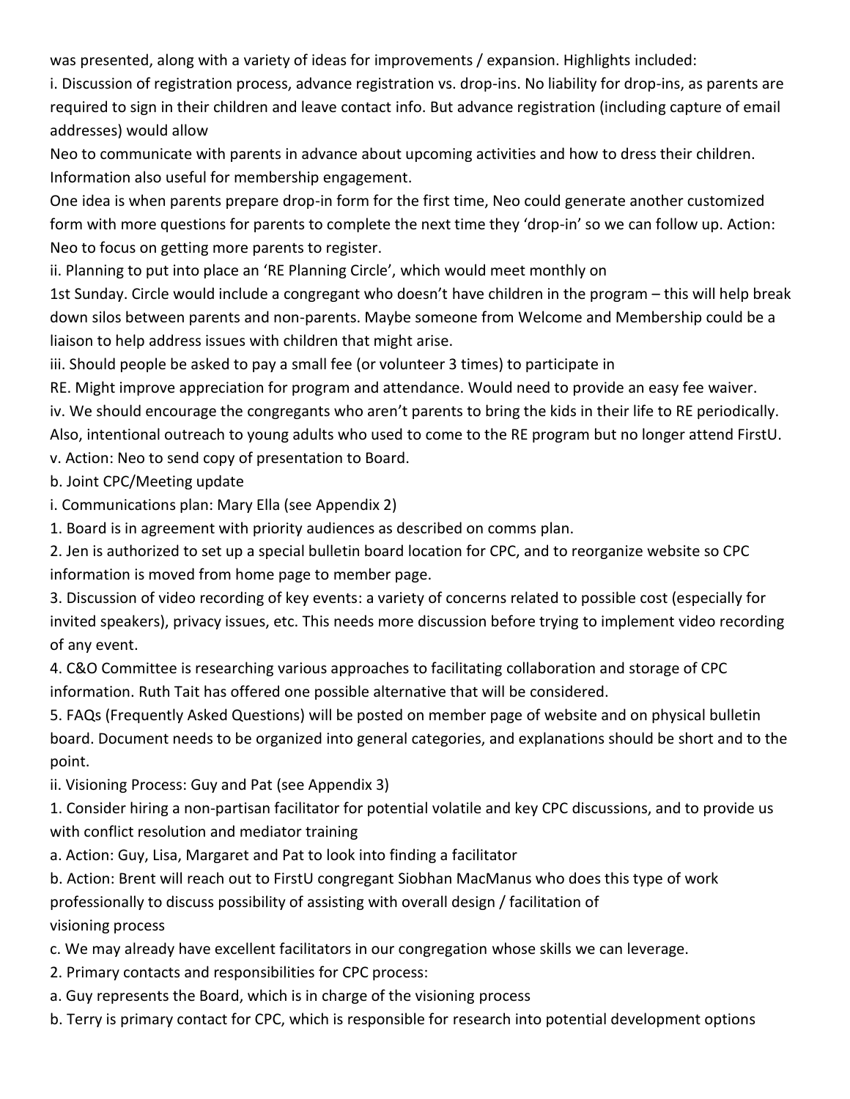was presented, along with a variety of ideas for improvements / expansion. Highlights included:

i. Discussion of registration process, advance registration vs. drop-ins. No liability for drop-ins, as parents are required to sign in their children and leave contact info. But advance registration (including capture of email addresses) would allow

Neo to communicate with parents in advance about upcoming activities and how to dress their children. Information also useful for membership engagement.

One idea is when parents prepare drop-in form for the first time, Neo could generate another customized form with more questions for parents to complete the next time they 'drop-in' so we can follow up. Action: Neo to focus on getting more parents to register.

ii. Planning to put into place an 'RE Planning Circle', which would meet monthly on

1st Sunday. Circle would include a congregant who doesn't have children in the program – this will help break down silos between parents and non-parents. Maybe someone from Welcome and Membership could be a liaison to help address issues with children that might arise.

iii. Should people be asked to pay a small fee (or volunteer 3 times) to participate in

RE. Might improve appreciation for program and attendance. Would need to provide an easy fee waiver.

iv. We should encourage the congregants who aren't parents to bring the kids in their life to RE periodically.

Also, intentional outreach to young adults who used to come to the RE program but no longer attend FirstU. v. Action: Neo to send copy of presentation to Board.

b. Joint CPC/Meeting update

i. Communications plan: Mary Ella (see Appendix 2)

1. Board is in agreement with priority audiences as described on comms plan.

2. Jen is authorized to set up a special bulletin board location for CPC, and to reorganize website so CPC information is moved from home page to member page.

3. Discussion of video recording of key events: a variety of concerns related to possible cost (especially for invited speakers), privacy issues, etc. This needs more discussion before trying to implement video recording of any event.

4. C&O Committee is researching various approaches to facilitating collaboration and storage of CPC information. Ruth Tait has offered one possible alternative that will be considered.

5. FAQs (Frequently Asked Questions) will be posted on member page of website and on physical bulletin board. Document needs to be organized into general categories, and explanations should be short and to the point.

ii. Visioning Process: Guy and Pat (see Appendix 3)

1. Consider hiring a non-partisan facilitator for potential volatile and key CPC discussions, and to provide us with conflict resolution and mediator training

a. Action: Guy, Lisa, Margaret and Pat to look into finding a facilitator

b. Action: Brent will reach out to FirstU congregant Siobhan MacManus who does this type of work professionally to discuss possibility of assisting with overall design / facilitation of visioning process

- c. We may already have excellent facilitators in our congregation whose skills we can leverage.
- 2. Primary contacts and responsibilities for CPC process:
- a. Guy represents the Board, which is in charge of the visioning process
- b. Terry is primary contact for CPC, which is responsible for research into potential development options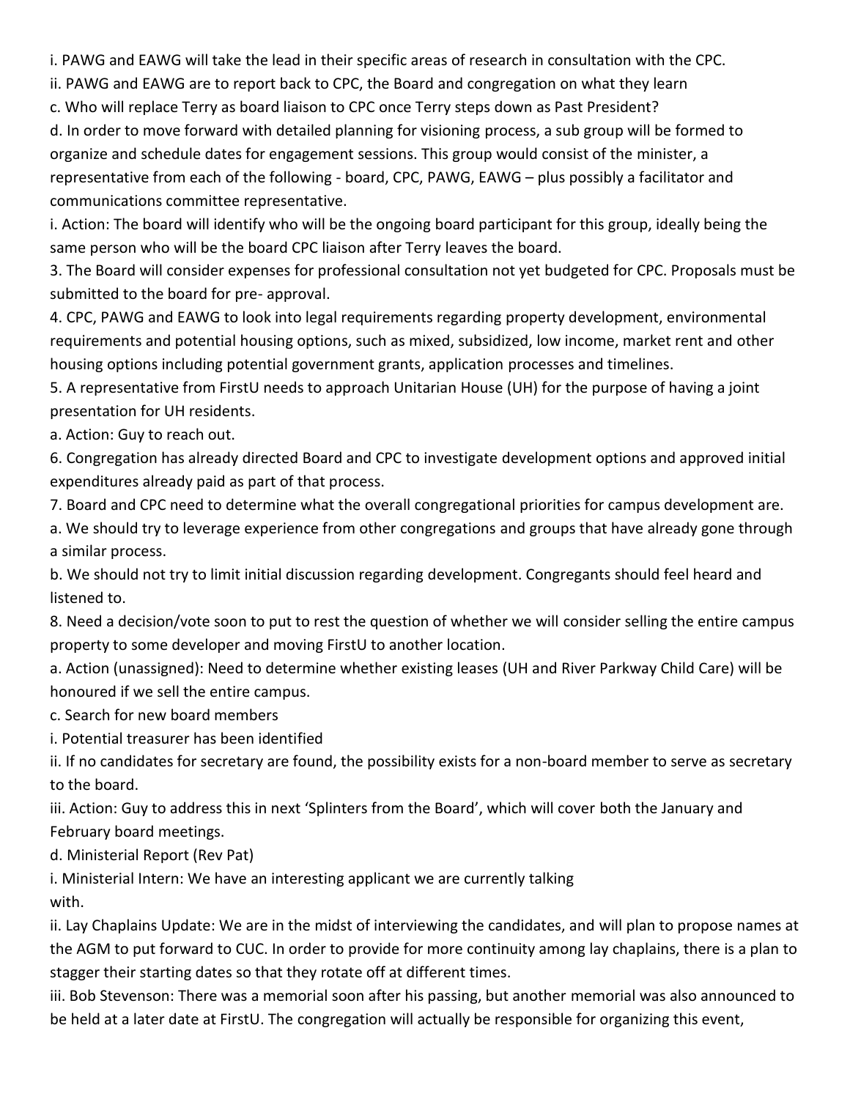i. PAWG and EAWG will take the lead in their specific areas of research in consultation with the CPC.

ii. PAWG and EAWG are to report back to CPC, the Board and congregation on what they learn

c. Who will replace Terry as board liaison to CPC once Terry steps down as Past President?

d. In order to move forward with detailed planning for visioning process, a sub group will be formed to organize and schedule dates for engagement sessions. This group would consist of the minister, a representative from each of the following - board, CPC, PAWG, EAWG – plus possibly a facilitator and communications committee representative.

i. Action: The board will identify who will be the ongoing board participant for this group, ideally being the same person who will be the board CPC liaison after Terry leaves the board.

3. The Board will consider expenses for professional consultation not yet budgeted for CPC. Proposals must be submitted to the board for pre- approval.

4. CPC, PAWG and EAWG to look into legal requirements regarding property development, environmental requirements and potential housing options, such as mixed, subsidized, low income, market rent and other housing options including potential government grants, application processes and timelines.

5. A representative from FirstU needs to approach Unitarian House (UH) for the purpose of having a joint presentation for UH residents.

a. Action: Guy to reach out.

6. Congregation has already directed Board and CPC to investigate development options and approved initial expenditures already paid as part of that process.

7. Board and CPC need to determine what the overall congregational priorities for campus development are.

a. We should try to leverage experience from other congregations and groups that have already gone through a similar process.

b. We should not try to limit initial discussion regarding development. Congregants should feel heard and listened to.

8. Need a decision/vote soon to put to rest the question of whether we will consider selling the entire campus property to some developer and moving FirstU to another location.

a. Action (unassigned): Need to determine whether existing leases (UH and River Parkway Child Care) will be honoured if we sell the entire campus.

c. Search for new board members

i. Potential treasurer has been identified

ii. If no candidates for secretary are found, the possibility exists for a non-board member to serve as secretary to the board.

iii. Action: Guy to address this in next 'Splinters from the Board', which will cover both the January and February board meetings.

d. Ministerial Report (Rev Pat)

i. Ministerial Intern: We have an interesting applicant we are currently talking with.

ii. Lay Chaplains Update: We are in the midst of interviewing the candidates, and will plan to propose names at the AGM to put forward to CUC. In order to provide for more continuity among lay chaplains, there is a plan to stagger their starting dates so that they rotate off at different times.

iii. Bob Stevenson: There was a memorial soon after his passing, but another memorial was also announced to be held at a later date at FirstU. The congregation will actually be responsible for organizing this event,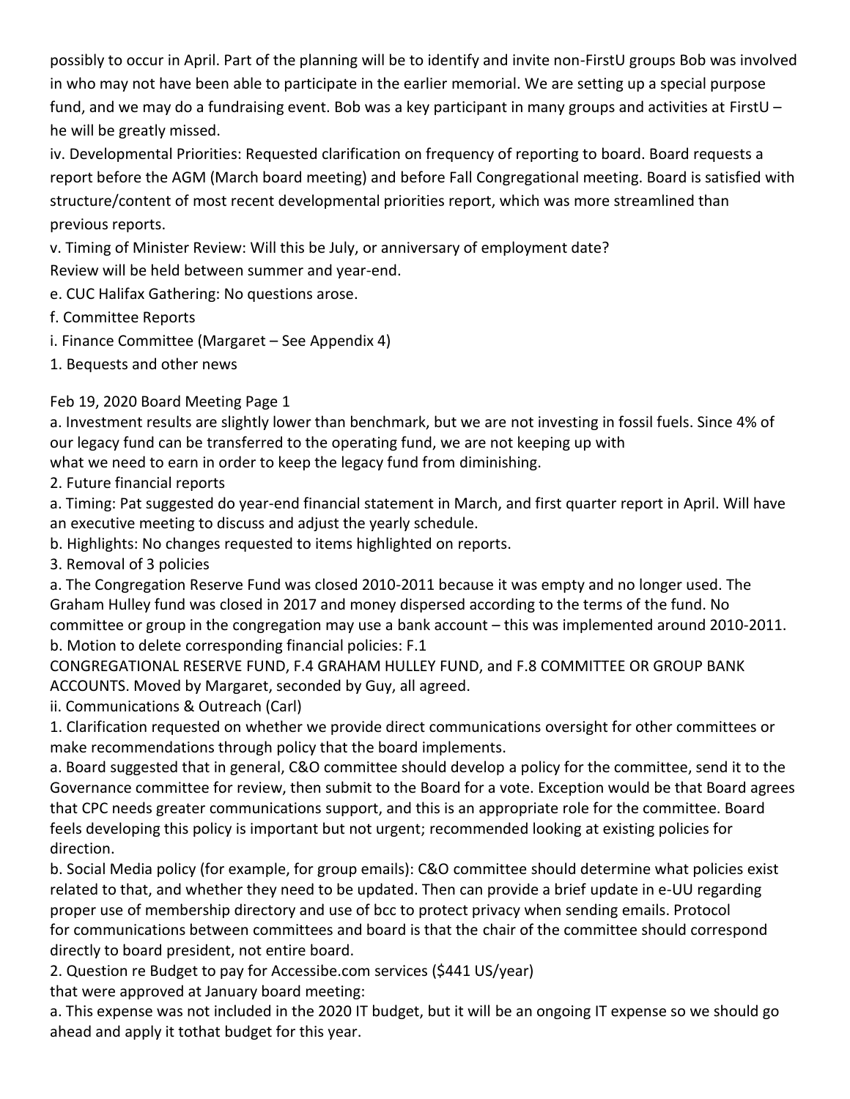possibly to occur in April. Part of the planning will be to identify and invite non-FirstU groups Bob was involved in who may not have been able to participate in the earlier memorial. We are setting up a special purpose fund, and we may do a fundraising event. Bob was a key participant in many groups and activities at FirstU – he will be greatly missed.

iv. Developmental Priorities: Requested clarification on frequency of reporting to board. Board requests a report before the AGM (March board meeting) and before Fall Congregational meeting. Board is satisfied with structure/content of most recent developmental priorities report, which was more streamlined than previous reports.

v. Timing of Minister Review: Will this be July, or anniversary of employment date?

Review will be held between summer and year-end.

e. CUC Halifax Gathering: No questions arose.

f. Committee Reports

- i. Finance Committee (Margaret See Appendix 4)
- 1. Bequests and other news

Feb 19, 2020 Board Meeting Page 1

a. Investment results are slightly lower than benchmark, but we are not investing in fossil fuels. Since 4% of our legacy fund can be transferred to the operating fund, we are not keeping up with

what we need to earn in order to keep the legacy fund from diminishing.

2. Future financial reports

a. Timing: Pat suggested do year-end financial statement in March, and first quarter report in April. Will have an executive meeting to discuss and adjust the yearly schedule.

b. Highlights: No changes requested to items highlighted on reports.

3. Removal of 3 policies

a. The Congregation Reserve Fund was closed 2010-2011 because it was empty and no longer used. The Graham Hulley fund was closed in 2017 and money dispersed according to the terms of the fund. No committee or group in the congregation may use a bank account – this was implemented around 2010-2011. b. Motion to delete corresponding financial policies: F.1

CONGREGATIONAL RESERVE FUND, F.4 GRAHAM HULLEY FUND, and F.8 COMMITTEE OR GROUP BANK ACCOUNTS. Moved by Margaret, seconded by Guy, all agreed.

ii. Communications & Outreach (Carl)

1. Clarification requested on whether we provide direct communications oversight for other committees or make recommendations through policy that the board implements.

a. Board suggested that in general, C&O committee should develop a policy for the committee, send it to the Governance committee for review, then submit to the Board for a vote. Exception would be that Board agrees that CPC needs greater communications support, and this is an appropriate role for the committee. Board feels developing this policy is important but not urgent; recommended looking at existing policies for direction.

b. Social Media policy (for example, for group emails): C&O committee should determine what policies exist related to that, and whether they need to be updated. Then can provide a brief update in e-UU regarding proper use of membership directory and use of bcc to protect privacy when sending emails. Protocol for communications between committees and board is that the chair of the committee should correspond directly to board president, not entire board.

2. Question re Budget to pay for Accessibe.com services (\$441 US/year)

that were approved at January board meeting:

a. This expense was not included in the 2020 IT budget, but it will be an ongoing IT expense so we should go ahead and apply it tothat budget for this year.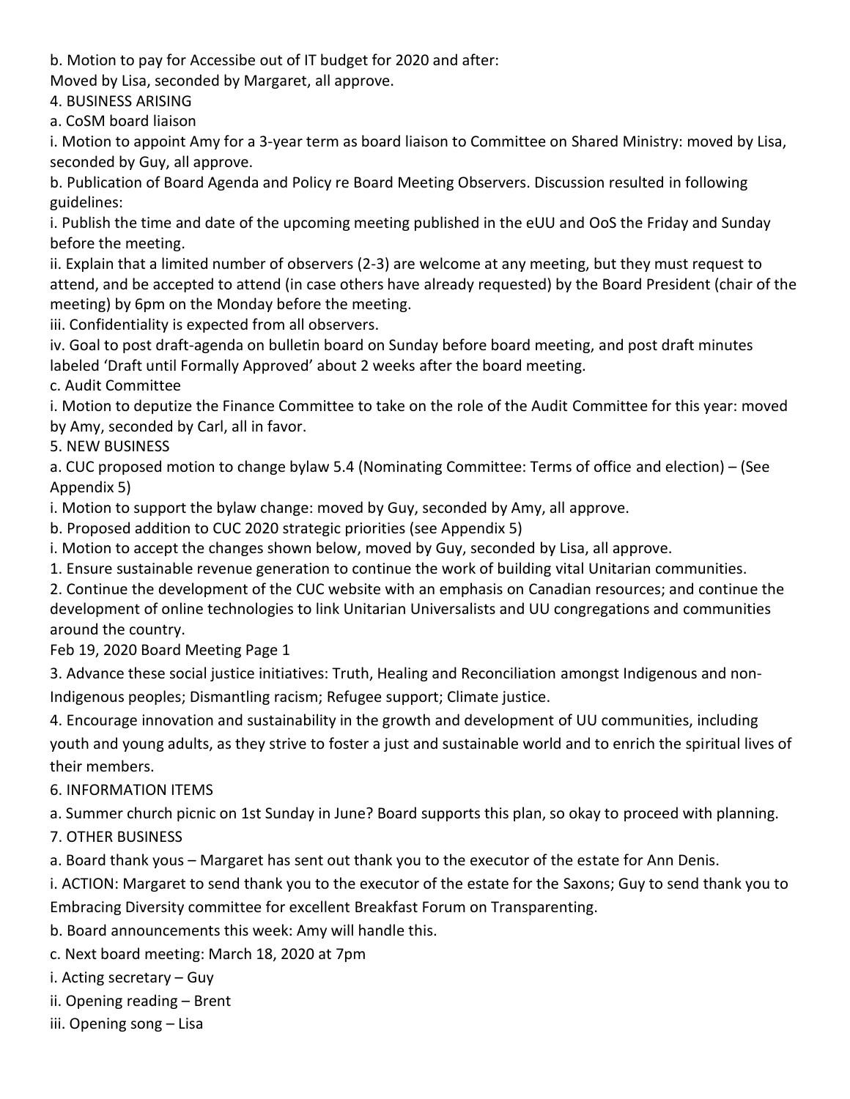b. Motion to pay for Accessibe out of IT budget for 2020 and after:

Moved by Lisa, seconded by Margaret, all approve.

4. BUSINESS ARISING

a. CoSM board liaison

i. Motion to appoint Amy for a 3-year term as board liaison to Committee on Shared Ministry: moved by Lisa, seconded by Guy, all approve.

b. Publication of Board Agenda and Policy re Board Meeting Observers. Discussion resulted in following guidelines:

i. Publish the time and date of the upcoming meeting published in the eUU and OoS the Friday and Sunday before the meeting.

ii. Explain that a limited number of observers (2-3) are welcome at any meeting, but they must request to attend, and be accepted to attend (in case others have already requested) by the Board President (chair of the meeting) by 6pm on the Monday before the meeting.

iii. Confidentiality is expected from all observers.

iv. Goal to post draft-agenda on bulletin board on Sunday before board meeting, and post draft minutes labeled 'Draft until Formally Approved' about 2 weeks after the board meeting.

c. Audit Committee

i. Motion to deputize the Finance Committee to take on the role of the Audit Committee for this year: moved by Amy, seconded by Carl, all in favor.

5. NEW BUSINESS

a. CUC proposed motion to change bylaw 5.4 (Nominating Committee: Terms of office and election) – (See Appendix 5)

i. Motion to support the bylaw change: moved by Guy, seconded by Amy, all approve.

b. Proposed addition to CUC 2020 strategic priorities (see Appendix 5)

i. Motion to accept the changes shown below, moved by Guy, seconded by Lisa, all approve.

1. Ensure sustainable revenue generation to continue the work of building vital Unitarian communities.

2. Continue the development of the CUC website with an emphasis on Canadian resources; and continue the development of online technologies to link Unitarian Universalists and UU congregations and communities around the country.

Feb 19, 2020 Board Meeting Page 1

3. Advance these social justice initiatives: Truth, Healing and Reconciliation amongst Indigenous and non-Indigenous peoples; Dismantling racism; Refugee support; Climate justice.

4. Encourage innovation and sustainability in the growth and development of UU communities, including youth and young adults, as they strive to foster a just and sustainable world and to enrich the spiritual lives of their members.

6. INFORMATION ITEMS

a. Summer church picnic on 1st Sunday in June? Board supports this plan, so okay to proceed with planning.

7. OTHER BUSINESS

a. Board thank yous – Margaret has sent out thank you to the executor of the estate for Ann Denis.

i. ACTION: Margaret to send thank you to the executor of the estate for the Saxons; Guy to send thank you to Embracing Diversity committee for excellent Breakfast Forum on Transparenting.

b. Board announcements this week: Amy will handle this.

c. Next board meeting: March 18, 2020 at 7pm

i. Acting secretary – Guy

ii. Opening reading – Brent

iii. Opening song – Lisa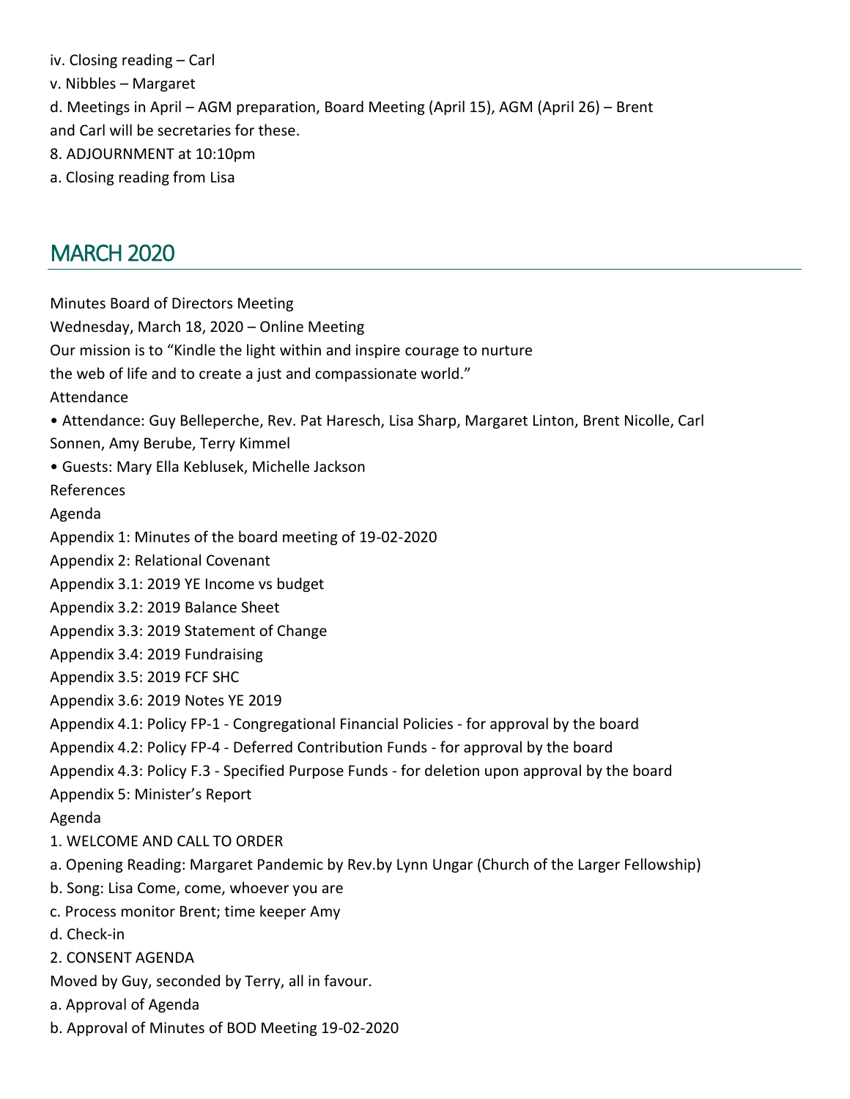iv. Closing reading – Carl v. Nibbles – Margaret d. Meetings in April – AGM preparation, Board Meeting (April 15), AGM (April 26) – Brent and Carl will be secretaries for these. 8. ADJOURNMENT at 10:10pm a. Closing reading from Lisa

# <span id="page-9-0"></span>MARCH 2020

Minutes Board of Directors Meeting Wednesday, March 18, 2020 – Online Meeting Our mission is to "Kindle the light within and inspire courage to nurture the web of life and to create a just and compassionate world." Attendance • Attendance: Guy Belleperche, Rev. Pat Haresch, Lisa Sharp, Margaret Linton, Brent Nicolle, Carl Sonnen, Amy Berube, Terry Kimmel • Guests: Mary Ella Keblusek, Michelle Jackson References Agenda Appendix 1: Minutes of the board meeting of 19-02-2020 Appendix 2: Relational Covenant Appendix 3.1: 2019 YE Income vs budget Appendix 3.2: 2019 Balance Sheet Appendix 3.3: 2019 Statement of Change Appendix 3.4: 2019 Fundraising Appendix 3.5: 2019 FCF SHC Appendix 3.6: 2019 Notes YE 2019 Appendix 4.1: Policy FP-1 - Congregational Financial Policies - for approval by the board Appendix 4.2: Policy FP-4 - Deferred Contribution Funds - for approval by the board Appendix 4.3: Policy F.3 - Specified Purpose Funds - for deletion upon approval by the board Appendix 5: Minister's Report Agenda 1. WELCOME AND CALL TO ORDER a. Opening Reading: Margaret Pandemic by Rev.by Lynn Ungar (Church of the Larger Fellowship) b. Song: Lisa Come, come, whoever you are c. Process monitor Brent; time keeper Amy d. Check-in 2. CONSENT AGENDA Moved by Guy, seconded by Terry, all in favour. a. Approval of Agenda b. Approval of Minutes of BOD Meeting 19-02-2020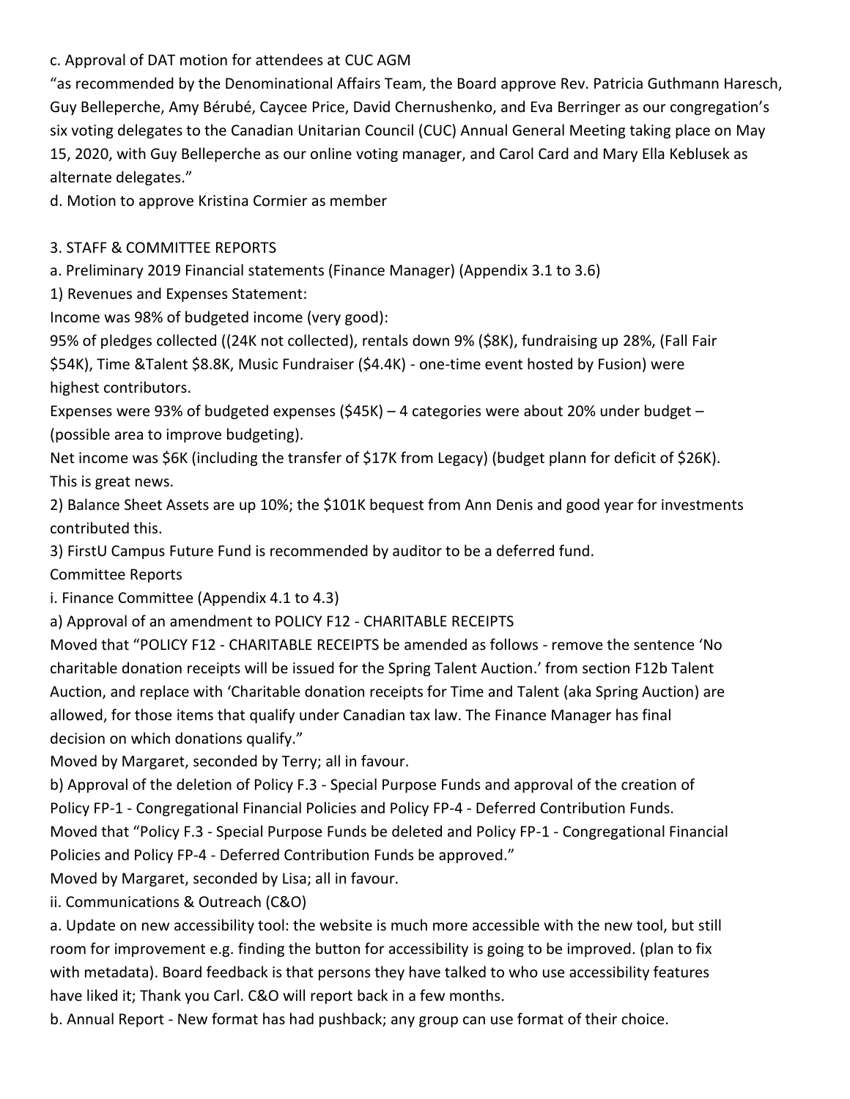# c. Approval of DAT motion for attendees at CUC AGM

"as recommended by the Denominational Affairs Team, the Board approve Rev. Patricia Guthmann Haresch, Guy Belleperche, Amy Bérubé, Caycee Price, David Chernushenko, and Eva Berringer as our congregation's six voting delegates to the Canadian Unitarian Council (CUC) Annual General Meeting taking place on May 15, 2020, with Guy Belleperche as our online voting manager, and Carol Card and Mary Ella Keblusek as alternate delegates."

d. Motion to approve Kristina Cormier as member

### 3. STAFF & COMMITTEE REPORTS

a. Preliminary 2019 Financial statements (Finance Manager) (Appendix 3.1 to 3.6)

1) Revenues and Expenses Statement:

Income was 98% of budgeted income (very good):

95% of pledges collected ((24K not collected), rentals down 9% (\$8K), fundraising up 28%, (Fall Fair \$54K), Time &Talent \$8.8K, Music Fundraiser (\$4.4K) - one-time event hosted by Fusion) were highest contributors.

Expenses were 93% of budgeted expenses (\$45K) – 4 categories were about 20% under budget – (possible area to improve budgeting).

Net income was \$6K (including the transfer of \$17K from Legacy) (budget plann for deficit of \$26K). This is great news.

2) Balance Sheet Assets are up 10%; the \$101K bequest from Ann Denis and good year for investments contributed this.

3) FirstU Campus Future Fund is recommended by auditor to be a deferred fund.

Committee Reports

i. Finance Committee (Appendix 4.1 to 4.3)

a) Approval of an amendment to POLICY F12 - CHARITABLE RECEIPTS

Moved that "POLICY F12 - CHARITABLE RECEIPTS be amended as follows - remove the sentence 'No charitable donation receipts will be issued for the Spring Talent Auction.' from section F12b Talent Auction, and replace with 'Charitable donation receipts for Time and Talent (aka Spring Auction) are allowed, for those items that qualify under Canadian tax law. The Finance Manager has final decision on which donations qualify."

Moved by Margaret, seconded by Terry; all in favour.

b) Approval of the deletion of Policy F.3 - Special Purpose Funds and approval of the creation of Policy FP-1 - Congregational Financial Policies and Policy FP-4 - Deferred Contribution Funds. Moved that "Policy F.3 - Special Purpose Funds be deleted and Policy FP-1 - Congregational Financial Policies and Policy FP-4 - Deferred Contribution Funds be approved."

Moved by Margaret, seconded by Lisa; all in favour.

ii. Communications & Outreach (C&O)

a. Update on new accessibility tool: the website is much more accessible with the new tool, but still room for improvement e.g. finding the button for accessibility is going to be improved. (plan to fix with metadata). Board feedback is that persons they have talked to who use accessibility features have liked it; Thank you Carl. C&O will report back in a few months.

b. Annual Report - New format has had pushback; any group can use format of their choice.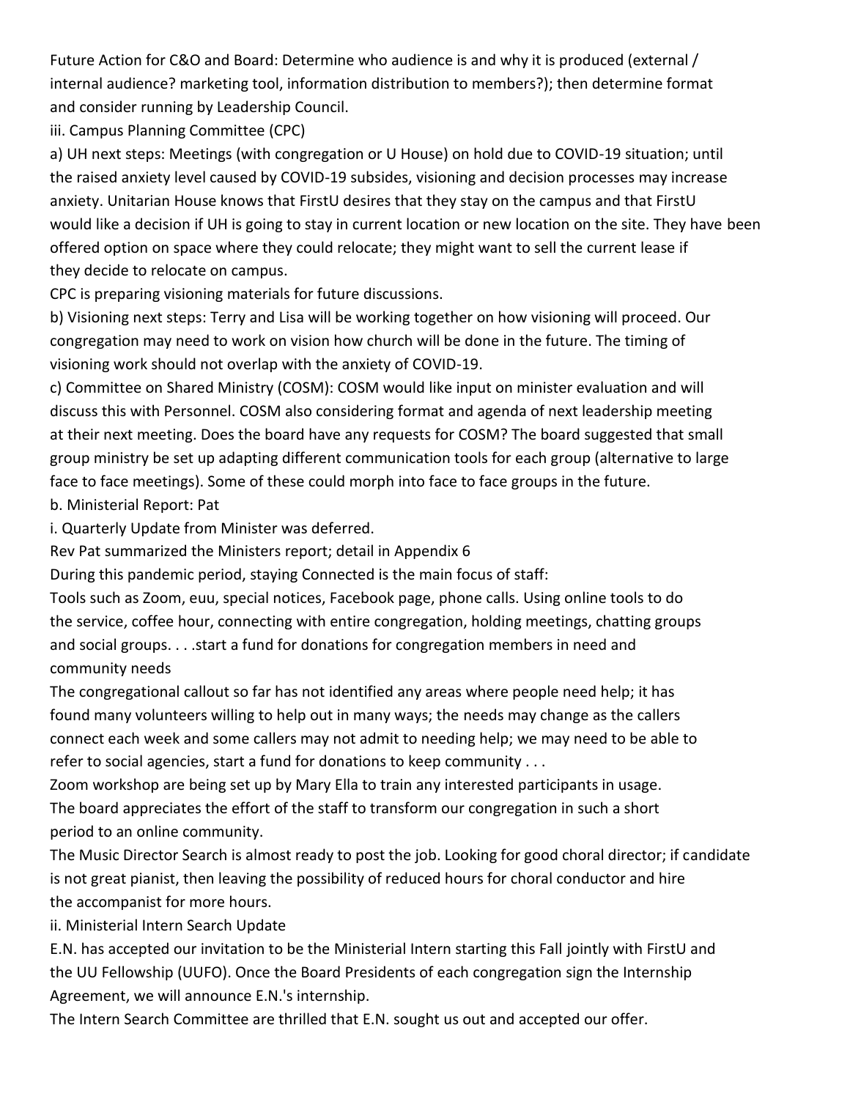Future Action for C&O and Board: Determine who audience is and why it is produced (external / internal audience? marketing tool, information distribution to members?); then determine format and consider running by Leadership Council.

iii. Campus Planning Committee (CPC)

a) UH next steps: Meetings (with congregation or U House) on hold due to COVID-19 situation; until the raised anxiety level caused by COVID-19 subsides, visioning and decision processes may increase anxiety. Unitarian House knows that FirstU desires that they stay on the campus and that FirstU would like a decision if UH is going to stay in current location or new location on the site. They have been offered option on space where they could relocate; they might want to sell the current lease if they decide to relocate on campus.

CPC is preparing visioning materials for future discussions.

b) Visioning next steps: Terry and Lisa will be working together on how visioning will proceed. Our congregation may need to work on vision how church will be done in the future. The timing of visioning work should not overlap with the anxiety of COVID-19.

c) Committee on Shared Ministry (COSM): COSM would like input on minister evaluation and will discuss this with Personnel. COSM also considering format and agenda of next leadership meeting at their next meeting. Does the board have any requests for COSM? The board suggested that small group ministry be set up adapting different communication tools for each group (alternative to large face to face meetings). Some of these could morph into face to face groups in the future. b. Ministerial Report: Pat

i. Quarterly Update from Minister was deferred.

Rev Pat summarized the Ministers report; detail in Appendix 6

During this pandemic period, staying Connected is the main focus of staff:

Tools such as Zoom, euu, special notices, Facebook page, phone calls. Using online tools to do the service, coffee hour, connecting with entire congregation, holding meetings, chatting groups and social groups. . . .start a fund for donations for congregation members in need and community needs

The congregational callout so far has not identified any areas where people need help; it has found many volunteers willing to help out in many ways; the needs may change as the callers connect each week and some callers may not admit to needing help; we may need to be able to refer to social agencies, start a fund for donations to keep community . . .

Zoom workshop are being set up by Mary Ella to train any interested participants in usage. The board appreciates the effort of the staff to transform our congregation in such a short period to an online community.

The Music Director Search is almost ready to post the job. Looking for good choral director; if candidate is not great pianist, then leaving the possibility of reduced hours for choral conductor and hire the accompanist for more hours.

ii. Ministerial Intern Search Update

E.N. has accepted our invitation to be the Ministerial Intern starting this Fall jointly with FirstU and the UU Fellowship (UUFO). Once the Board Presidents of each congregation sign the Internship Agreement, we will announce E.N.'s internship.

The Intern Search Committee are thrilled that E.N. sought us out and accepted our offer.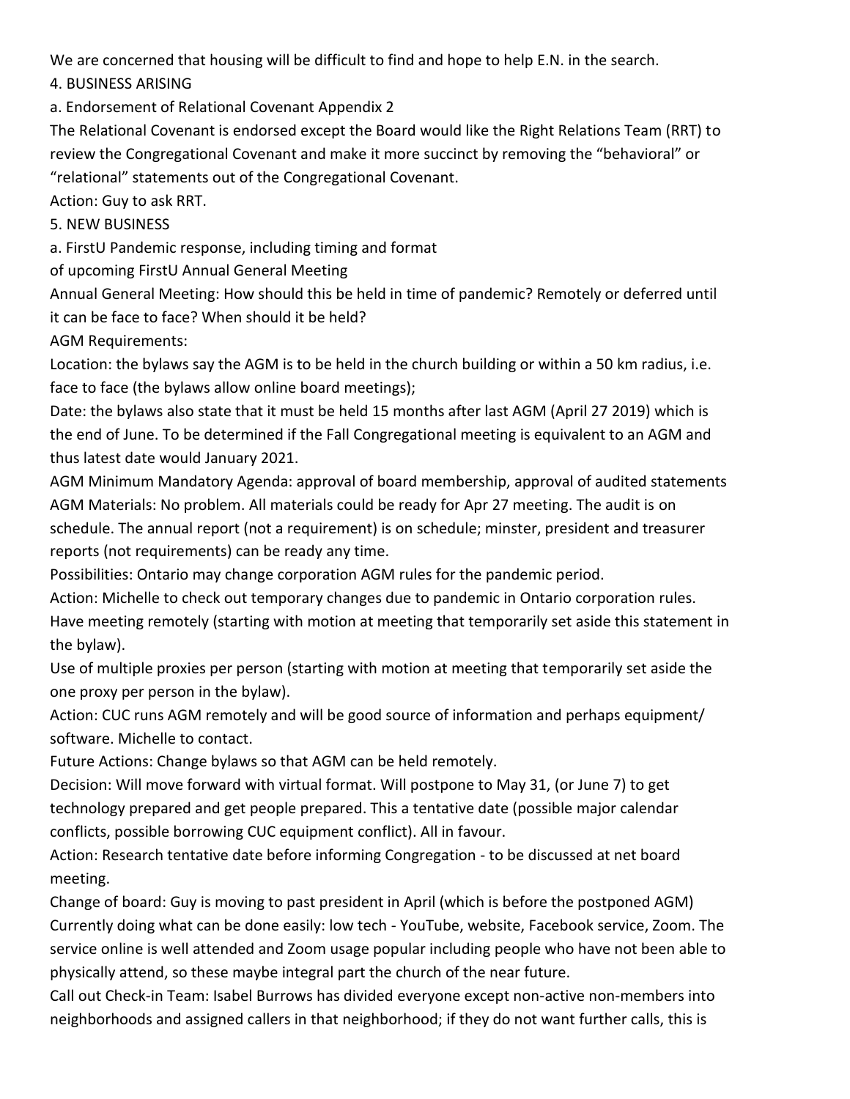We are concerned that housing will be difficult to find and hope to help E.N. in the search.

4. BUSINESS ARISING

a. Endorsement of Relational Covenant Appendix 2

The Relational Covenant is endorsed except the Board would like the Right Relations Team (RRT) to review the Congregational Covenant and make it more succinct by removing the "behavioral" or "relational" statements out of the Congregational Covenant.

Action: Guy to ask RRT.

5. NEW BUSINESS

a. FirstU Pandemic response, including timing and format

of upcoming FirstU Annual General Meeting

Annual General Meeting: How should this be held in time of pandemic? Remotely or deferred until it can be face to face? When should it be held?

AGM Requirements:

Location: the bylaws say the AGM is to be held in the church building or within a 50 km radius, i.e. face to face (the bylaws allow online board meetings);

Date: the bylaws also state that it must be held 15 months after last AGM (April 27 2019) which is the end of June. To be determined if the Fall Congregational meeting is equivalent to an AGM and thus latest date would January 2021.

AGM Minimum Mandatory Agenda: approval of board membership, approval of audited statements AGM Materials: No problem. All materials could be ready for Apr 27 meeting. The audit is on schedule. The annual report (not a requirement) is on schedule; minster, president and treasurer reports (not requirements) can be ready any time.

Possibilities: Ontario may change corporation AGM rules for the pandemic period.

Action: Michelle to check out temporary changes due to pandemic in Ontario corporation rules. Have meeting remotely (starting with motion at meeting that temporarily set aside this statement in the bylaw).

Use of multiple proxies per person (starting with motion at meeting that temporarily set aside the one proxy per person in the bylaw).

Action: CUC runs AGM remotely and will be good source of information and perhaps equipment/ software. Michelle to contact.

Future Actions: Change bylaws so that AGM can be held remotely.

Decision: Will move forward with virtual format. Will postpone to May 31, (or June 7) to get technology prepared and get people prepared. This a tentative date (possible major calendar conflicts, possible borrowing CUC equipment conflict). All in favour.

Action: Research tentative date before informing Congregation - to be discussed at net board meeting.

Change of board: Guy is moving to past president in April (which is before the postponed AGM) Currently doing what can be done easily: low tech - YouTube, website, Facebook service, Zoom. The service online is well attended and Zoom usage popular including people who have not been able to physically attend, so these maybe integral part the church of the near future.

Call out Check-in Team: Isabel Burrows has divided everyone except non-active non-members into neighborhoods and assigned callers in that neighborhood; if they do not want further calls, this is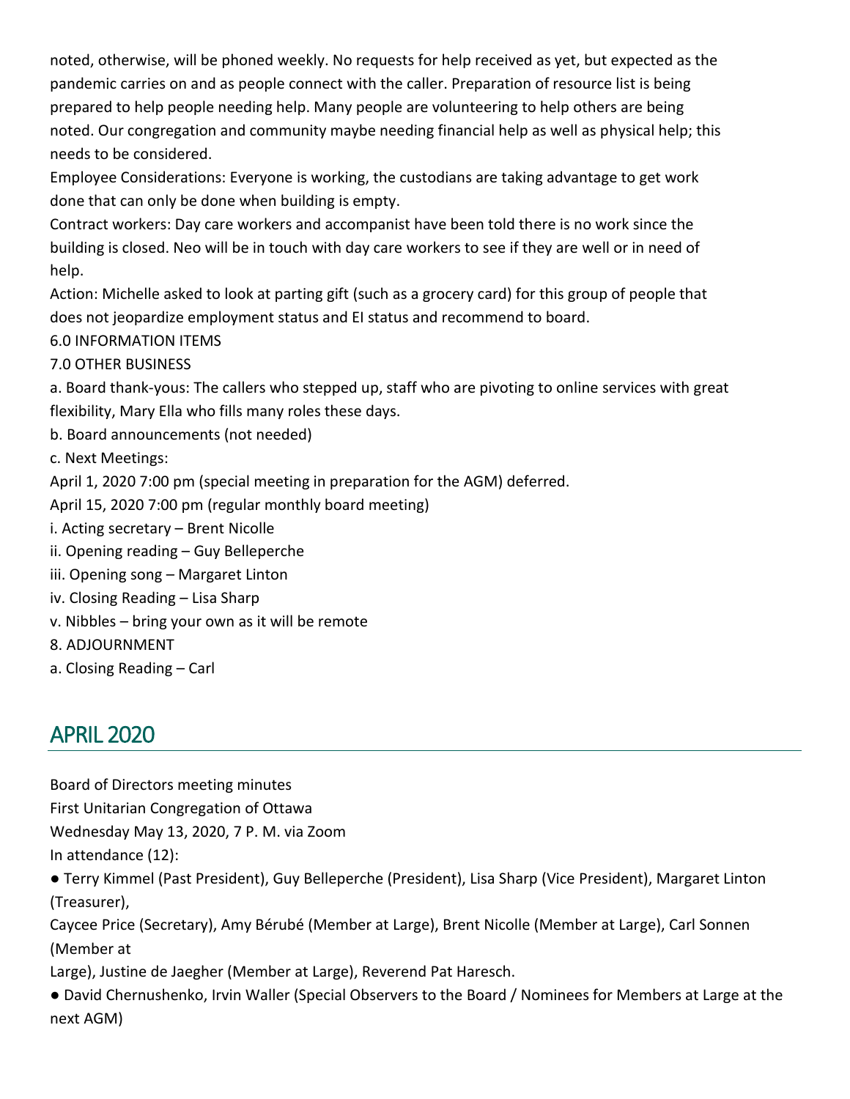noted, otherwise, will be phoned weekly. No requests for help received as yet, but expected as the pandemic carries on and as people connect with the caller. Preparation of resource list is being prepared to help people needing help. Many people are volunteering to help others are being noted. Our congregation and community maybe needing financial help as well as physical help; this needs to be considered.

Employee Considerations: Everyone is working, the custodians are taking advantage to get work done that can only be done when building is empty.

Contract workers: Day care workers and accompanist have been told there is no work since the building is closed. Neo will be in touch with day care workers to see if they are well or in need of help.

Action: Michelle asked to look at parting gift (such as a grocery card) for this group of people that does not jeopardize employment status and EI status and recommend to board.

## 6.0 INFORMATION ITEMS

7.0 OTHER BUSINESS

a. Board thank-yous: The callers who stepped up, staff who are pivoting to online services with great flexibility, Mary Ella who fills many roles these days.

b. Board announcements (not needed)

c. Next Meetings:

April 1, 2020 7:00 pm (special meeting in preparation for the AGM) deferred.

April 15, 2020 7:00 pm (regular monthly board meeting)

- i. Acting secretary Brent Nicolle
- ii. Opening reading Guy Belleperche
- iii. Opening song Margaret Linton
- iv. Closing Reading Lisa Sharp
- v. Nibbles bring your own as it will be remote
- 8. ADJOURNMENT
- a. Closing Reading Carl

# <span id="page-13-0"></span>APRIL 2020

Board of Directors meeting minutes

First Unitarian Congregation of Ottawa

Wednesday May 13, 2020, 7 P. M. via Zoom

In attendance (12):

● Terry Kimmel (Past President), Guy Belleperche (President), Lisa Sharp (Vice President), Margaret Linton (Treasurer),

Caycee Price (Secretary), Amy Bérubé (Member at Large), Brent Nicolle (Member at Large), Carl Sonnen (Member at

Large), Justine de Jaegher (Member at Large), Reverend Pat Haresch.

● David Chernushenko, Irvin Waller (Special Observers to the Board / Nominees for Members at Large at the next AGM)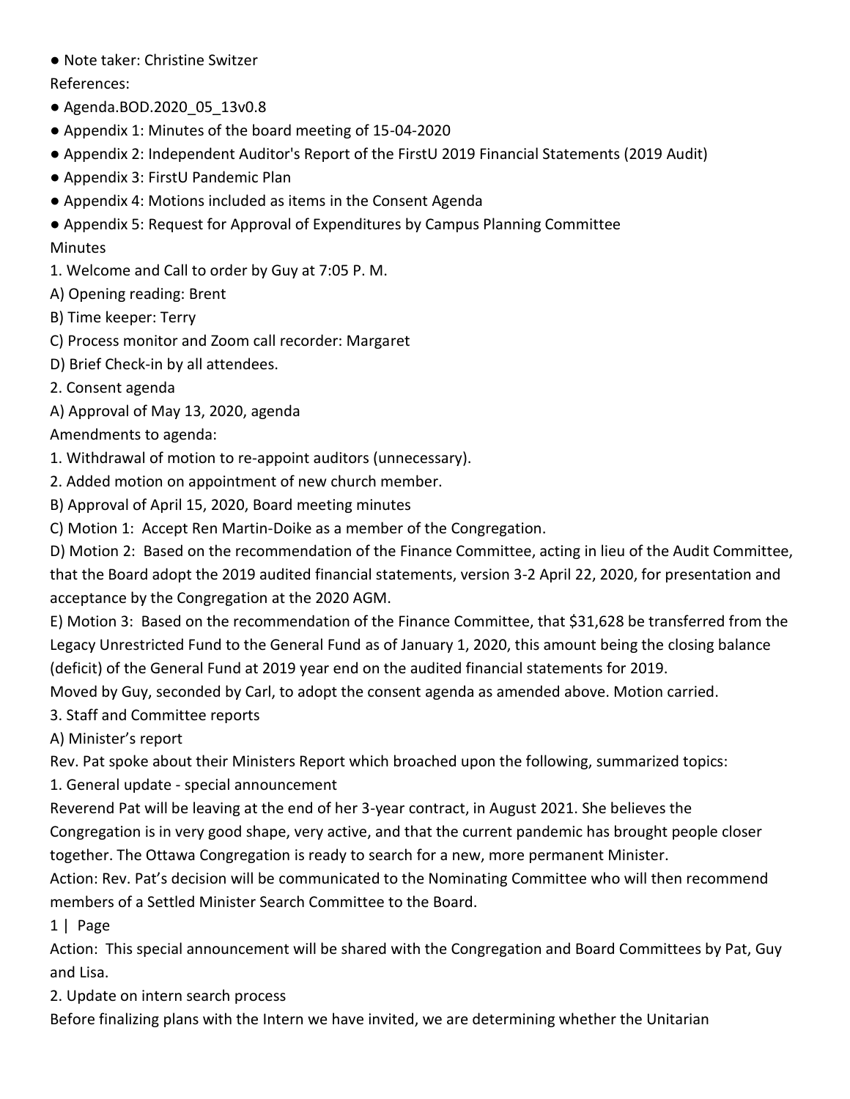● Note taker: Christine Switzer

References:

- Agenda.BOD.2020\_05\_13v0.8
- Appendix 1: Minutes of the board meeting of 15-04-2020
- Appendix 2: Independent Auditor's Report of the FirstU 2019 Financial Statements (2019 Audit)
- Appendix 3: FirstU Pandemic Plan
- Appendix 4: Motions included as items in the Consent Agenda
- Appendix 5: Request for Approval of Expenditures by Campus Planning Committee

# Minutes

- 1. Welcome and Call to order by Guy at 7:05 P. M.
- A) Opening reading: Brent
- B) Time keeper: Terry
- C) Process monitor and Zoom call recorder: Margaret
- D) Brief Check-in by all attendees.
- 2. Consent agenda
- A) Approval of May 13, 2020, agenda

# Amendments to agenda:

- 1. Withdrawal of motion to re-appoint auditors (unnecessary).
- 2. Added motion on appointment of new church member.
- B) Approval of April 15, 2020, Board meeting minutes
- C) Motion 1: Accept Ren Martin-Doike as a member of the Congregation.

D) Motion 2: Based on the recommendation of the Finance Committee, acting in lieu of the Audit Committee, that the Board adopt the 2019 audited financial statements, version 3-2 April 22, 2020, for presentation and acceptance by the Congregation at the 2020 AGM.

E) Motion 3: Based on the recommendation of the Finance Committee, that \$31,628 be transferred from the Legacy Unrestricted Fund to the General Fund as of January 1, 2020, this amount being the closing balance (deficit) of the General Fund at 2019 year end on the audited financial statements for 2019.

Moved by Guy, seconded by Carl, to adopt the consent agenda as amended above. Motion carried.

3. Staff and Committee reports

A) Minister's report

Rev. Pat spoke about their Ministers Report which broached upon the following, summarized topics:

- 1. General update special announcement
- Reverend Pat will be leaving at the end of her 3-year contract, in August 2021. She believes the Congregation is in very good shape, very active, and that the current pandemic has brought people closer together. The Ottawa Congregation is ready to search for a new, more permanent Minister.

Action: Rev. Pat's decision will be communicated to the Nominating Committee who will then recommend members of a Settled Minister Search Committee to the Board.

1 | Page

Action: This special announcement will be shared with the Congregation and Board Committees by Pat, Guy and Lisa.

2. Update on intern search process

Before finalizing plans with the Intern we have invited, we are determining whether the Unitarian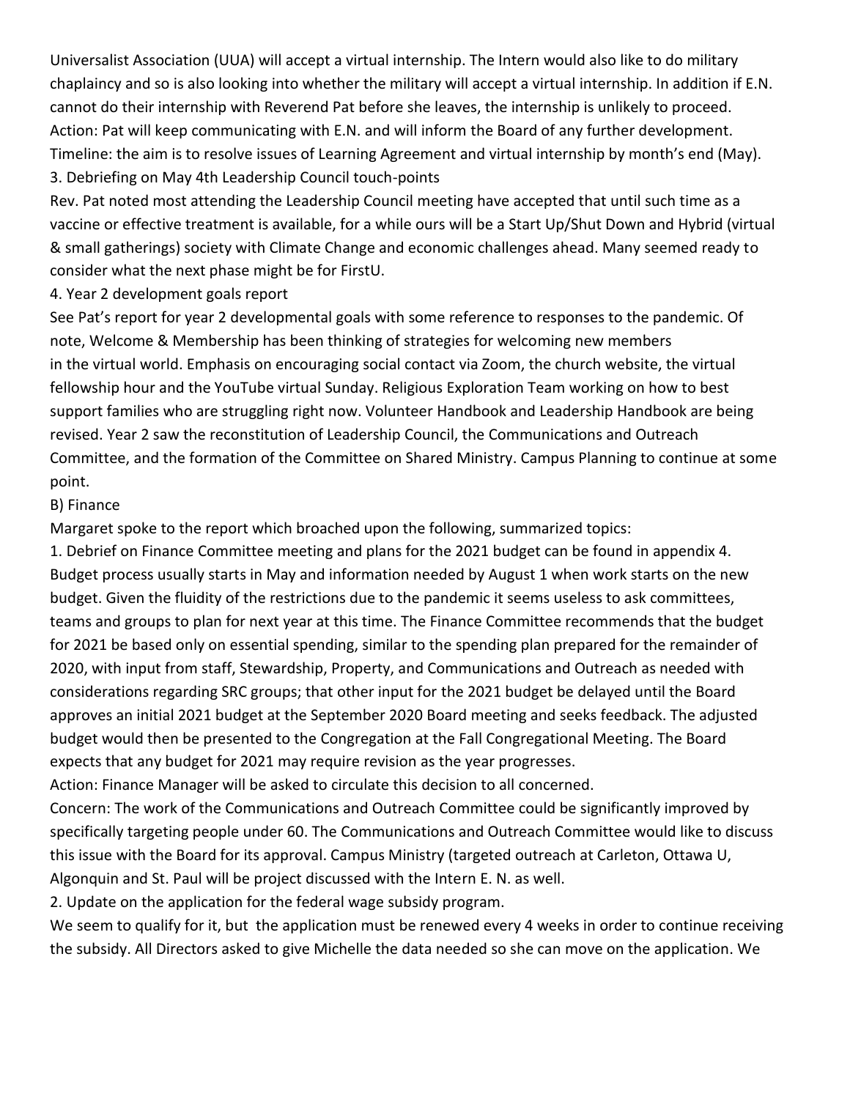Universalist Association (UUA) will accept a virtual internship. The Intern would also like to do military chaplaincy and so is also looking into whether the military will accept a virtual internship. In addition if E.N. cannot do their internship with Reverend Pat before she leaves, the internship is unlikely to proceed. Action: Pat will keep communicating with E.N. and will inform the Board of any further development. Timeline: the aim is to resolve issues of Learning Agreement and virtual internship by month's end (May). 3. Debriefing on May 4th Leadership Council touch-points

Rev. Pat noted most attending the Leadership Council meeting have accepted that until such time as a vaccine or effective treatment is available, for a while ours will be a Start Up/Shut Down and Hybrid (virtual & small gatherings) society with Climate Change and economic challenges ahead. Many seemed ready to consider what the next phase might be for FirstU.

4. Year 2 development goals report

See Pat's report for year 2 developmental goals with some reference to responses to the pandemic. Of note, Welcome & Membership has been thinking of strategies for welcoming new members in the virtual world. Emphasis on encouraging social contact via Zoom, the church website, the virtual fellowship hour and the YouTube virtual Sunday. Religious Exploration Team working on how to best support families who are struggling right now. Volunteer Handbook and Leadership Handbook are being revised. Year 2 saw the reconstitution of Leadership Council, the Communications and Outreach Committee, and the formation of the Committee on Shared Ministry. Campus Planning to continue at some point.

#### B) Finance

Margaret spoke to the report which broached upon the following, summarized topics:

1. Debrief on Finance Committee meeting and plans for the 2021 budget can be found in appendix 4. Budget process usually starts in May and information needed by August 1 when work starts on the new budget. Given the fluidity of the restrictions due to the pandemic it seems useless to ask committees, teams and groups to plan for next year at this time. The Finance Committee recommends that the budget for 2021 be based only on essential spending, similar to the spending plan prepared for the remainder of 2020, with input from staff, Stewardship, Property, and Communications and Outreach as needed with considerations regarding SRC groups; that other input for the 2021 budget be delayed until the Board approves an initial 2021 budget at the September 2020 Board meeting and seeks feedback. The adjusted budget would then be presented to the Congregation at the Fall Congregational Meeting. The Board expects that any budget for 2021 may require revision as the year progresses.

Action: Finance Manager will be asked to circulate this decision to all concerned.

Concern: The work of the Communications and Outreach Committee could be significantly improved by specifically targeting people under 60. The Communications and Outreach Committee would like to discuss this issue with the Board for its approval. Campus Ministry (targeted outreach at Carleton, Ottawa U, Algonquin and St. Paul will be project discussed with the Intern E. N. as well.

2. Update on the application for the federal wage subsidy program.

We seem to qualify for it, but the application must be renewed every 4 weeks in order to continue receiving the subsidy. All Directors asked to give Michelle the data needed so she can move on the application. We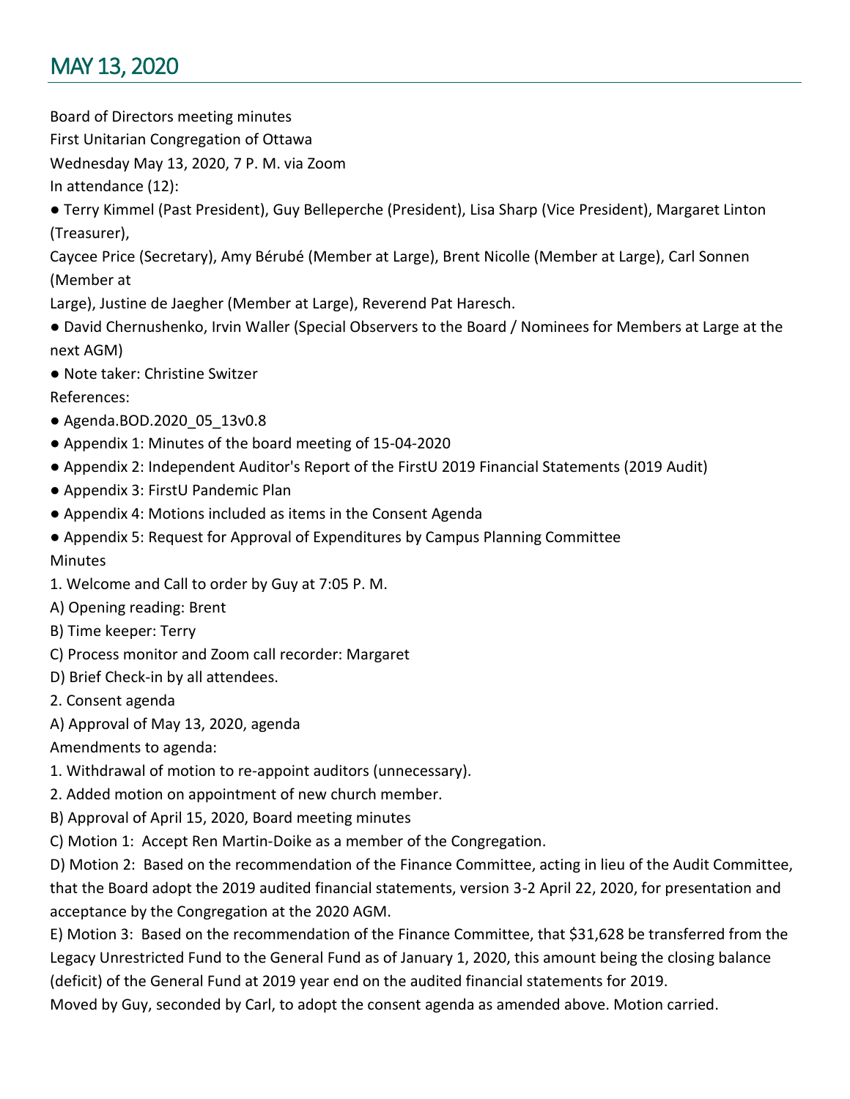# <span id="page-16-0"></span>MAY 13, 2020

Board of Directors meeting minutes

First Unitarian Congregation of Ottawa

Wednesday May 13, 2020, 7 P. M. via Zoom

In attendance (12):

● Terry Kimmel (Past President), Guy Belleperche (President), Lisa Sharp (Vice President), Margaret Linton (Treasurer),

Caycee Price (Secretary), Amy Bérubé (Member at Large), Brent Nicolle (Member at Large), Carl Sonnen (Member at

Large), Justine de Jaegher (Member at Large), Reverend Pat Haresch.

- David Chernushenko, Irvin Waller (Special Observers to the Board / Nominees for Members at Large at the next AGM)
- Note taker: Christine Switzer

References:

- Agenda.BOD.2020\_05\_13v0.8
- Appendix 1: Minutes of the board meeting of 15-04-2020
- Appendix 2: Independent Auditor's Report of the FirstU 2019 Financial Statements (2019 Audit)
- Appendix 3: FirstU Pandemic Plan
- Appendix 4: Motions included as items in the Consent Agenda
- Appendix 5: Request for Approval of Expenditures by Campus Planning Committee **Minutes**
- 1. Welcome and Call to order by Guy at 7:05 P. M.
- A) Opening reading: Brent
- B) Time keeper: Terry
- C) Process monitor and Zoom call recorder: Margaret
- D) Brief Check-in by all attendees.
- 2. Consent agenda
- A) Approval of May 13, 2020, agenda

Amendments to agenda:

- 1. Withdrawal of motion to re-appoint auditors (unnecessary).
- 2. Added motion on appointment of new church member.
- B) Approval of April 15, 2020, Board meeting minutes
- C) Motion 1: Accept Ren Martin-Doike as a member of the Congregation.

D) Motion 2: Based on the recommendation of the Finance Committee, acting in lieu of the Audit Committee, that the Board adopt the 2019 audited financial statements, version 3-2 April 22, 2020, for presentation and acceptance by the Congregation at the 2020 AGM.

E) Motion 3: Based on the recommendation of the Finance Committee, that \$31,628 be transferred from the Legacy Unrestricted Fund to the General Fund as of January 1, 2020, this amount being the closing balance (deficit) of the General Fund at 2019 year end on the audited financial statements for 2019.

Moved by Guy, seconded by Carl, to adopt the consent agenda as amended above. Motion carried.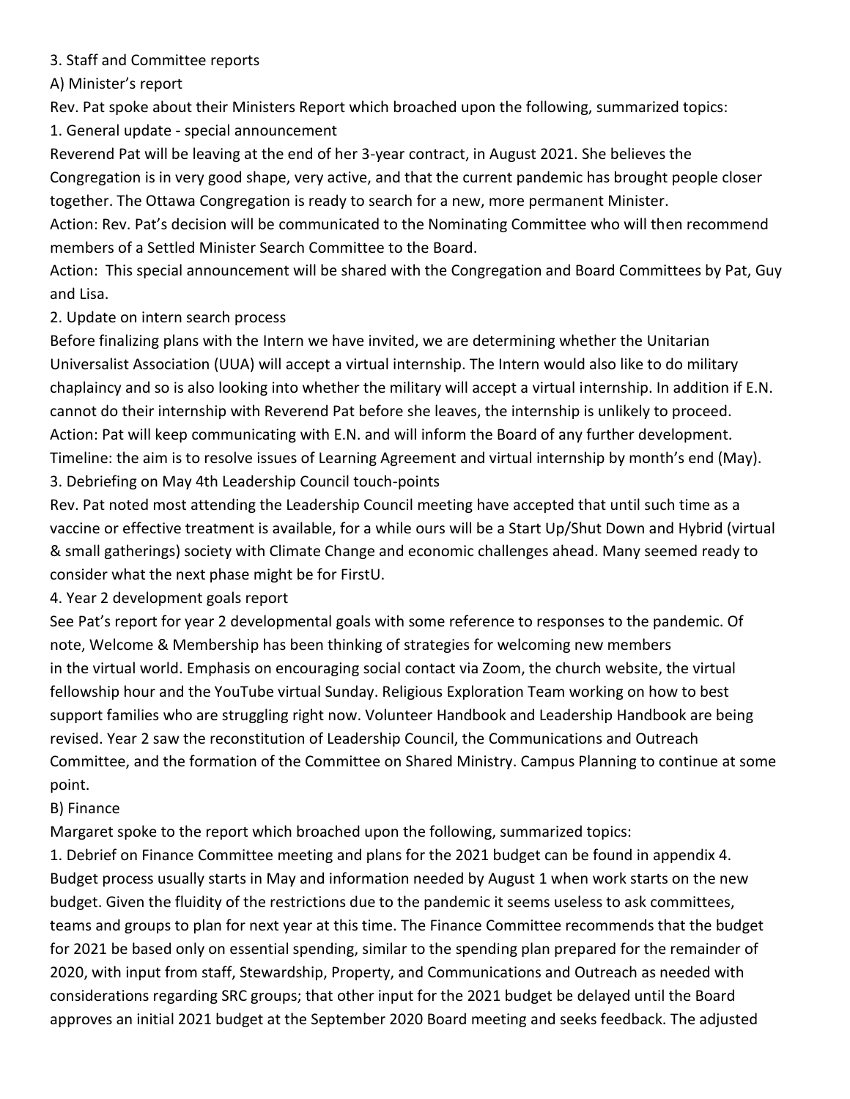3. Staff and Committee reports

A) Minister's report

Rev. Pat spoke about their Ministers Report which broached upon the following, summarized topics:

1. General update - special announcement

Reverend Pat will be leaving at the end of her 3-year contract, in August 2021. She believes the Congregation is in very good shape, very active, and that the current pandemic has brought people closer together. The Ottawa Congregation is ready to search for a new, more permanent Minister.

Action: Rev. Pat's decision will be communicated to the Nominating Committee who will then recommend members of a Settled Minister Search Committee to the Board.

Action: This special announcement will be shared with the Congregation and Board Committees by Pat, Guy and Lisa.

2. Update on intern search process

Before finalizing plans with the Intern we have invited, we are determining whether the Unitarian Universalist Association (UUA) will accept a virtual internship. The Intern would also like to do military chaplaincy and so is also looking into whether the military will accept a virtual internship. In addition if E.N. cannot do their internship with Reverend Pat before she leaves, the internship is unlikely to proceed. Action: Pat will keep communicating with E.N. and will inform the Board of any further development. Timeline: the aim is to resolve issues of Learning Agreement and virtual internship by month's end (May). 3. Debriefing on May 4th Leadership Council touch-points

Rev. Pat noted most attending the Leadership Council meeting have accepted that until such time as a vaccine or effective treatment is available, for a while ours will be a Start Up/Shut Down and Hybrid (virtual & small gatherings) society with Climate Change and economic challenges ahead. Many seemed ready to consider what the next phase might be for FirstU.

4. Year 2 development goals report

See Pat's report for year 2 developmental goals with some reference to responses to the pandemic. Of note, Welcome & Membership has been thinking of strategies for welcoming new members in the virtual world. Emphasis on encouraging social contact via Zoom, the church website, the virtual fellowship hour and the YouTube virtual Sunday. Religious Exploration Team working on how to best support families who are struggling right now. Volunteer Handbook and Leadership Handbook are being revised. Year 2 saw the reconstitution of Leadership Council, the Communications and Outreach Committee, and the formation of the Committee on Shared Ministry. Campus Planning to continue at some point.

# B) Finance

Margaret spoke to the report which broached upon the following, summarized topics:

1. Debrief on Finance Committee meeting and plans for the 2021 budget can be found in appendix 4. Budget process usually starts in May and information needed by August 1 when work starts on the new budget. Given the fluidity of the restrictions due to the pandemic it seems useless to ask committees, teams and groups to plan for next year at this time. The Finance Committee recommends that the budget for 2021 be based only on essential spending, similar to the spending plan prepared for the remainder of 2020, with input from staff, Stewardship, Property, and Communications and Outreach as needed with considerations regarding SRC groups; that other input for the 2021 budget be delayed until the Board approves an initial 2021 budget at the September 2020 Board meeting and seeks feedback. The adjusted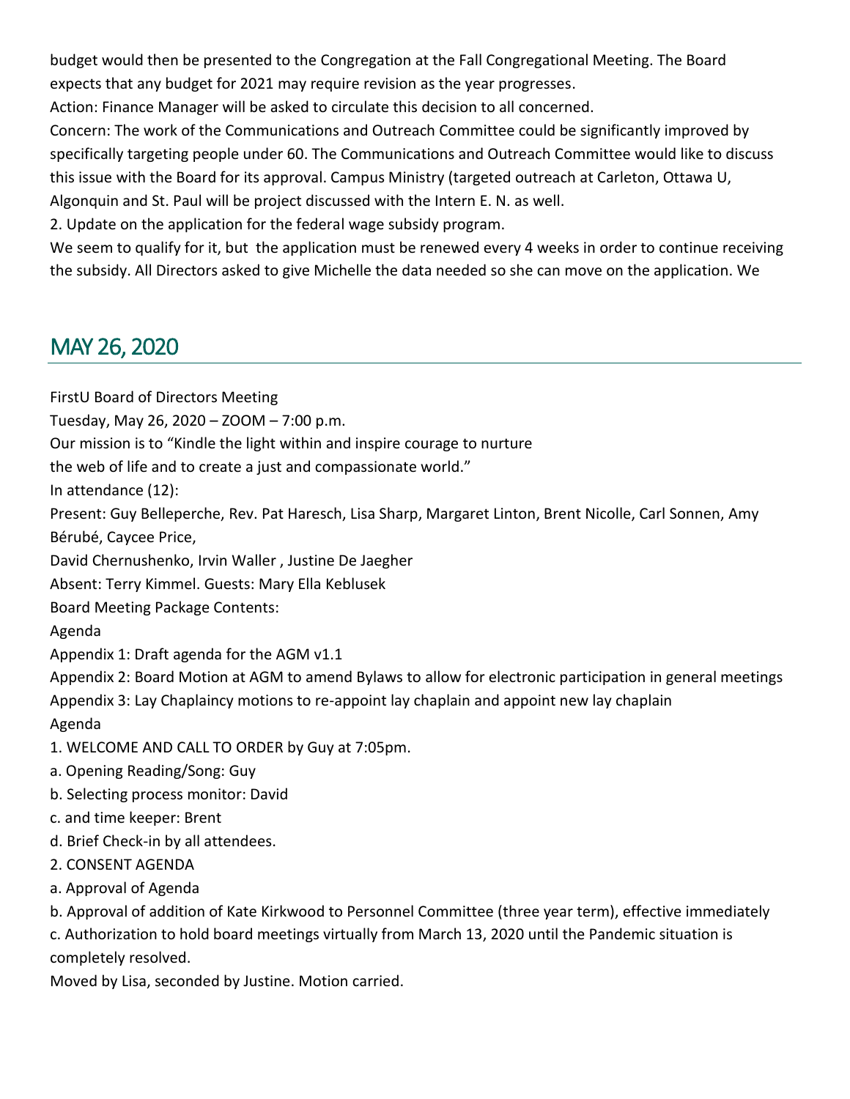budget would then be presented to the Congregation at the Fall Congregational Meeting. The Board expects that any budget for 2021 may require revision as the year progresses.

Action: Finance Manager will be asked to circulate this decision to all concerned.

Concern: The work of the Communications and Outreach Committee could be significantly improved by specifically targeting people under 60. The Communications and Outreach Committee would like to discuss this issue with the Board for its approval. Campus Ministry (targeted outreach at Carleton, Ottawa U, Algonquin and St. Paul will be project discussed with the Intern E. N. as well.

2. Update on the application for the federal wage subsidy program.

We seem to qualify for it, but the application must be renewed every 4 weeks in order to continue receiving the subsidy. All Directors asked to give Michelle the data needed so she can move on the application. We

# <span id="page-18-0"></span>MAY 26, 2020

FirstU Board of Directors Meeting

Tuesday, May 26, 2020 – ZOOM – 7:00 p.m.

Our mission is to "Kindle the light within and inspire courage to nurture

the web of life and to create a just and compassionate world."

In attendance (12):

Present: Guy Belleperche, Rev. Pat Haresch, Lisa Sharp, Margaret Linton, Brent Nicolle, Carl Sonnen, Amy Bérubé, Caycee Price,

David Chernushenko, Irvin Waller , Justine De Jaegher

Absent: Terry Kimmel. Guests: Mary Ella Keblusek

Board Meeting Package Contents:

Agenda

Appendix 1: Draft agenda for the AGM v1.1

Appendix 2: Board Motion at AGM to amend Bylaws to allow for electronic participation in general meetings

Appendix 3: Lay Chaplaincy motions to re-appoint lay chaplain and appoint new lay chaplain

Agenda

1. WELCOME AND CALL TO ORDER by Guy at 7:05pm.

a. Opening Reading/Song: Guy

b. Selecting process monitor: David

c. and time keeper: Brent

d. Brief Check-in by all attendees.

2. CONSENT AGENDA

a. Approval of Agenda

b. Approval of addition of Kate Kirkwood to Personnel Committee (three year term), effective immediately

c. Authorization to hold board meetings virtually from March 13, 2020 until the Pandemic situation is completely resolved.

Moved by Lisa, seconded by Justine. Motion carried.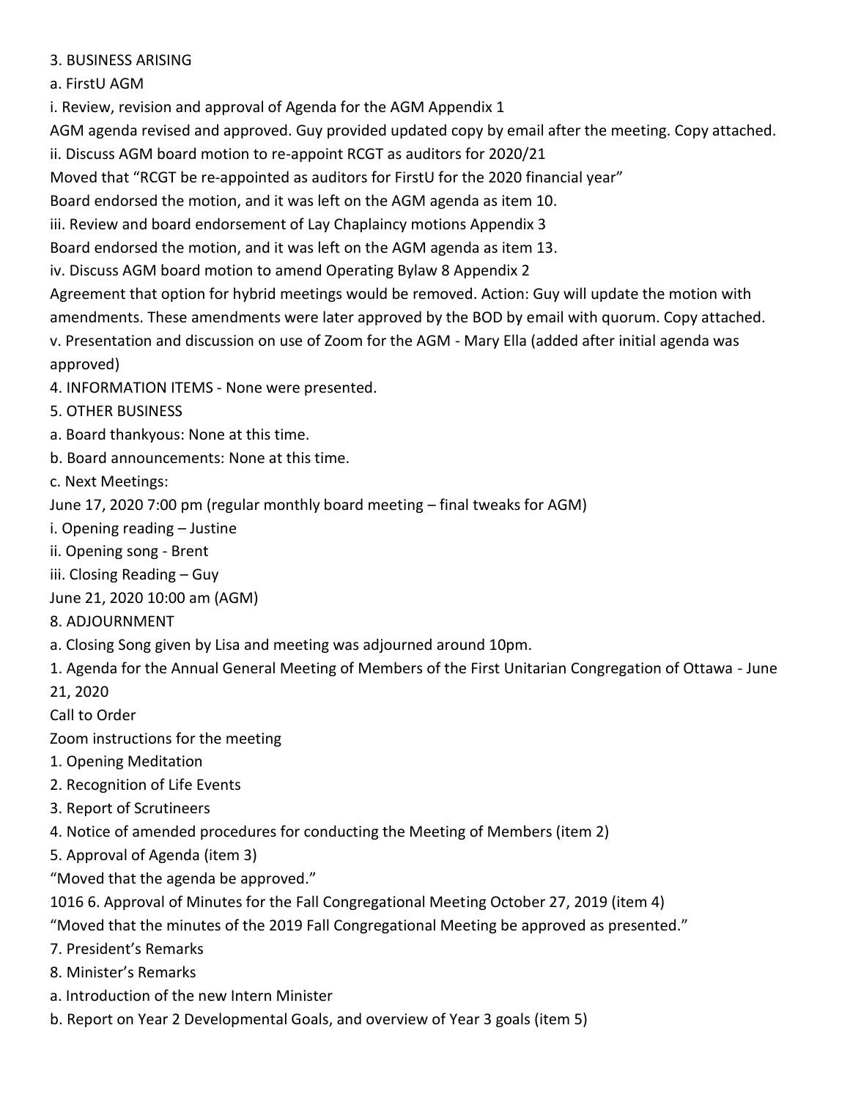## 3. BUSINESS ARISING

## a. FirstU AGM

i. Review, revision and approval of Agenda for the AGM Appendix 1

AGM agenda revised and approved. Guy provided updated copy by email after the meeting. Copy attached.

ii. Discuss AGM board motion to re-appoint RCGT as auditors for 2020/21

Moved that "RCGT be re-appointed as auditors for FirstU for the 2020 financial year"

Board endorsed the motion, and it was left on the AGM agenda as item 10.

iii. Review and board endorsement of Lay Chaplaincy motions Appendix 3

Board endorsed the motion, and it was left on the AGM agenda as item 13.

iv. Discuss AGM board motion to amend Operating Bylaw 8 Appendix 2

Agreement that option for hybrid meetings would be removed. Action: Guy will update the motion with amendments. These amendments were later approved by the BOD by email with quorum. Copy attached. v. Presentation and discussion on use of Zoom for the AGM - Mary Ella (added after initial agenda was

approved)

4. INFORMATION ITEMS - None were presented.

- 5. OTHER BUSINESS
- a. Board thankyous: None at this time.
- b. Board announcements: None at this time.

c. Next Meetings:

June 17, 2020 7:00 pm (regular monthly board meeting – final tweaks for AGM)

- i. Opening reading Justine
- ii. Opening song Brent
- iii. Closing Reading Guy
- June 21, 2020 10:00 am (AGM)
- 8. ADJOURNMENT
- a. Closing Song given by Lisa and meeting was adjourned around 10pm.
- 1. Agenda for the Annual General Meeting of Members of the First Unitarian Congregation of Ottawa June

21, 2020

Call to Order

Zoom instructions for the meeting

- 1. Opening Meditation
- 2. Recognition of Life Events
- 3. Report of Scrutineers
- 4. Notice of amended procedures for conducting the Meeting of Members (item 2)
- 5. Approval of Agenda (item 3)

"Moved that the agenda be approved."

1016 6. Approval of Minutes for the Fall Congregational Meeting October 27, 2019 (item 4)

"Moved that the minutes of the 2019 Fall Congregational Meeting be approved as presented."

7. President's Remarks

- 8. Minister's Remarks
- a. Introduction of the new Intern Minister
- b. Report on Year 2 Developmental Goals, and overview of Year 3 goals (item 5)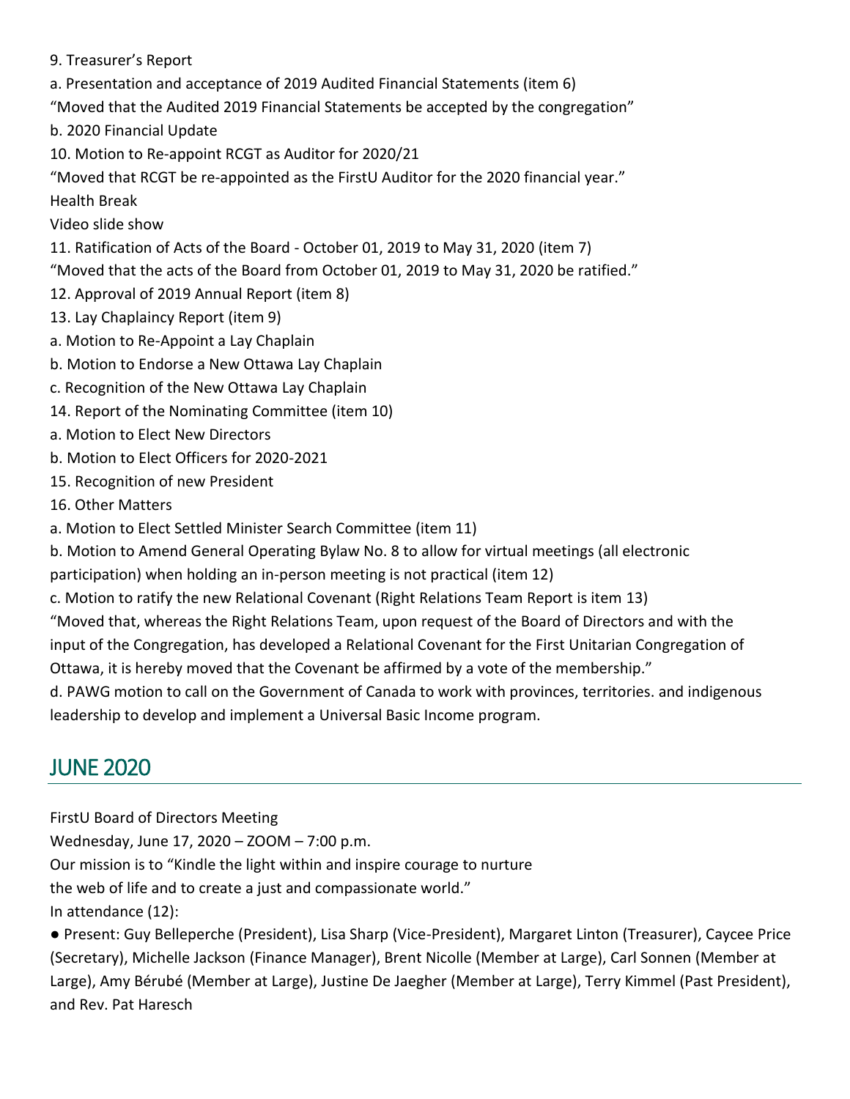9. Treasurer's Report

a. Presentation and acceptance of 2019 Audited Financial Statements (item 6)

"Moved that the Audited 2019 Financial Statements be accepted by the congregation"

b. 2020 Financial Update

10. Motion to Re-appoint RCGT as Auditor for 2020/21

"Moved that RCGT be re-appointed as the FirstU Auditor for the 2020 financial year." Health Break

Video slide show

11. Ratification of Acts of the Board - October 01, 2019 to May 31, 2020 (item 7)

"Moved that the acts of the Board from October 01, 2019 to May 31, 2020 be ratified."

- 12. Approval of 2019 Annual Report (item 8)
- 13. Lay Chaplaincy Report (item 9)
- a. Motion to Re-Appoint a Lay Chaplain
- b. Motion to Endorse a New Ottawa Lay Chaplain
- c. Recognition of the New Ottawa Lay Chaplain
- 14. Report of the Nominating Committee (item 10)
- a. Motion to Elect New Directors
- b. Motion to Elect Officers for 2020-2021
- 15. Recognition of new President
- 16. Other Matters
- a. Motion to Elect Settled Minister Search Committee (item 11)
- b. Motion to Amend General Operating Bylaw No. 8 to allow for virtual meetings (all electronic
- participation) when holding an in-person meeting is not practical (item 12)
- c. Motion to ratify the new Relational Covenant (Right Relations Team Report is item 13)

"Moved that, whereas the Right Relations Team, upon request of the Board of Directors and with the input of the Congregation, has developed a Relational Covenant for the First Unitarian Congregation of Ottawa, it is hereby moved that the Covenant be affirmed by a vote of the membership."

d. PAWG motion to call on the Government of Canada to work with provinces, territories. and indigenous leadership to develop and implement a Universal Basic Income program.

# <span id="page-20-0"></span>JUNE 2020

FirstU Board of Directors Meeting

Wednesday, June 17, 2020 – ZOOM – 7:00 p.m.

Our mission is to "Kindle the light within and inspire courage to nurture

the web of life and to create a just and compassionate world."

In attendance (12):

● Present: Guy Belleperche (President), Lisa Sharp (Vice-President), Margaret Linton (Treasurer), Caycee Price (Secretary), Michelle Jackson (Finance Manager), Brent Nicolle (Member at Large), Carl Sonnen (Member at Large), Amy Bérubé (Member at Large), Justine De Jaegher (Member at Large), Terry Kimmel (Past President), and Rev. Pat Haresch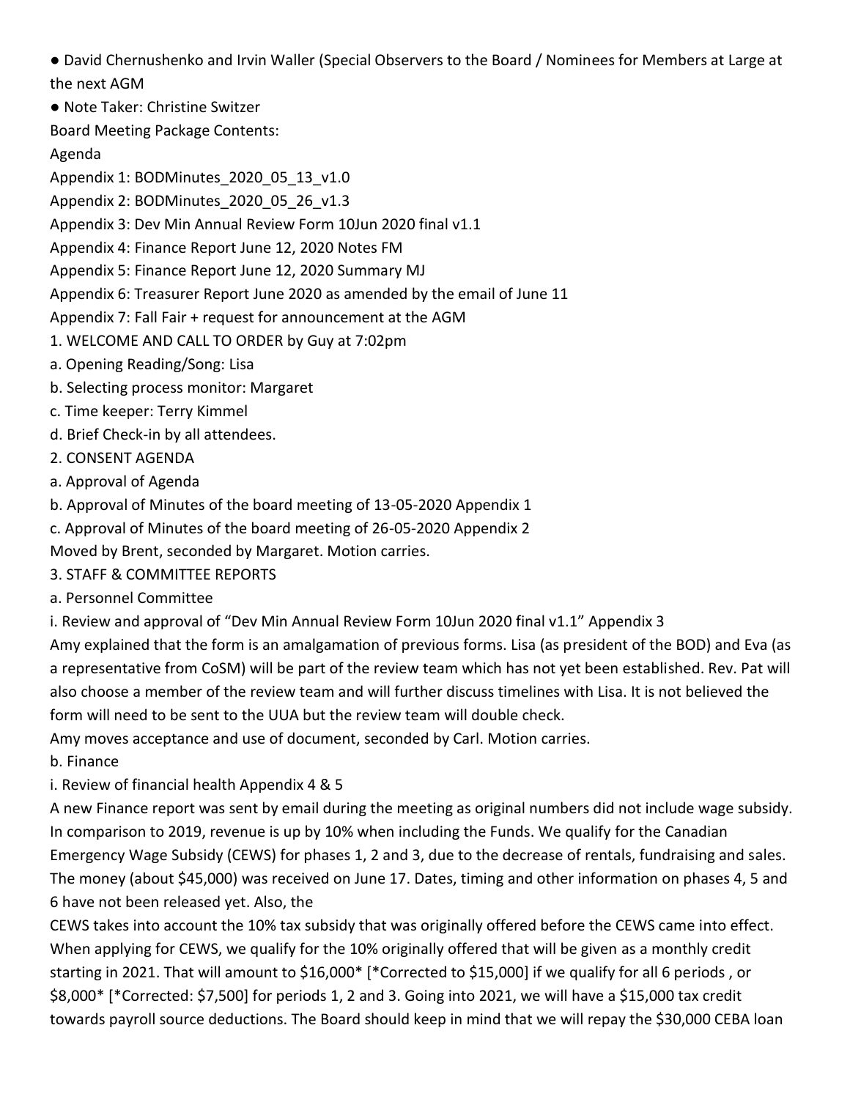● David Chernushenko and Irvin Waller (Special Observers to the Board / Nominees for Members at Large at the next AGM

● Note Taker: Christine Switzer

Board Meeting Package Contents:

Agenda

Appendix 1: BODMinutes 2020 05 13 v1.0

Appendix 2: BODMinutes\_2020\_05\_26\_v1.3

Appendix 3: Dev Min Annual Review Form 10Jun 2020 final v1.1

Appendix 4: Finance Report June 12, 2020 Notes FM

Appendix 5: Finance Report June 12, 2020 Summary MJ

Appendix 6: Treasurer Report June 2020 as amended by the email of June 11

Appendix 7: Fall Fair + request for announcement at the AGM

1. WELCOME AND CALL TO ORDER by Guy at 7:02pm

- a. Opening Reading/Song: Lisa
- b. Selecting process monitor: Margaret
- c. Time keeper: Terry Kimmel
- d. Brief Check-in by all attendees.
- 2. CONSENT AGENDA

a. Approval of Agenda

b. Approval of Minutes of the board meeting of 13-05-2020 Appendix 1

c. Approval of Minutes of the board meeting of 26-05-2020 Appendix 2

Moved by Brent, seconded by Margaret. Motion carries.

3. STAFF & COMMITTEE REPORTS

a. Personnel Committee

i. Review and approval of "Dev Min Annual Review Form 10Jun 2020 final v1.1" Appendix 3

Amy explained that the form is an amalgamation of previous forms. Lisa (as president of the BOD) and Eva (as a representative from CoSM) will be part of the review team which has not yet been established. Rev. Pat will also choose a member of the review team and will further discuss timelines with Lisa. It is not believed the form will need to be sent to the UUA but the review team will double check.

Amy moves acceptance and use of document, seconded by Carl. Motion carries.

b. Finance

i. Review of financial health Appendix 4 & 5

A new Finance report was sent by email during the meeting as original numbers did not include wage subsidy. In comparison to 2019, revenue is up by 10% when including the Funds. We qualify for the Canadian Emergency Wage Subsidy (CEWS) for phases 1, 2 and 3, due to the decrease of rentals, fundraising and sales. The money (about \$45,000) was received on June 17. Dates, timing and other information on phases 4, 5 and 6 have not been released yet. Also, the

CEWS takes into account the 10% tax subsidy that was originally offered before the CEWS came into effect. When applying for CEWS, we qualify for the 10% originally offered that will be given as a monthly credit starting in 2021. That will amount to \$16,000\* [\*Corrected to \$15,000] if we qualify for all 6 periods , or \$8,000\* [\*Corrected: \$7,500] for periods 1, 2 and 3. Going into 2021, we will have a \$15,000 tax credit towards payroll source deductions. The Board should keep in mind that we will repay the \$30,000 CEBA loan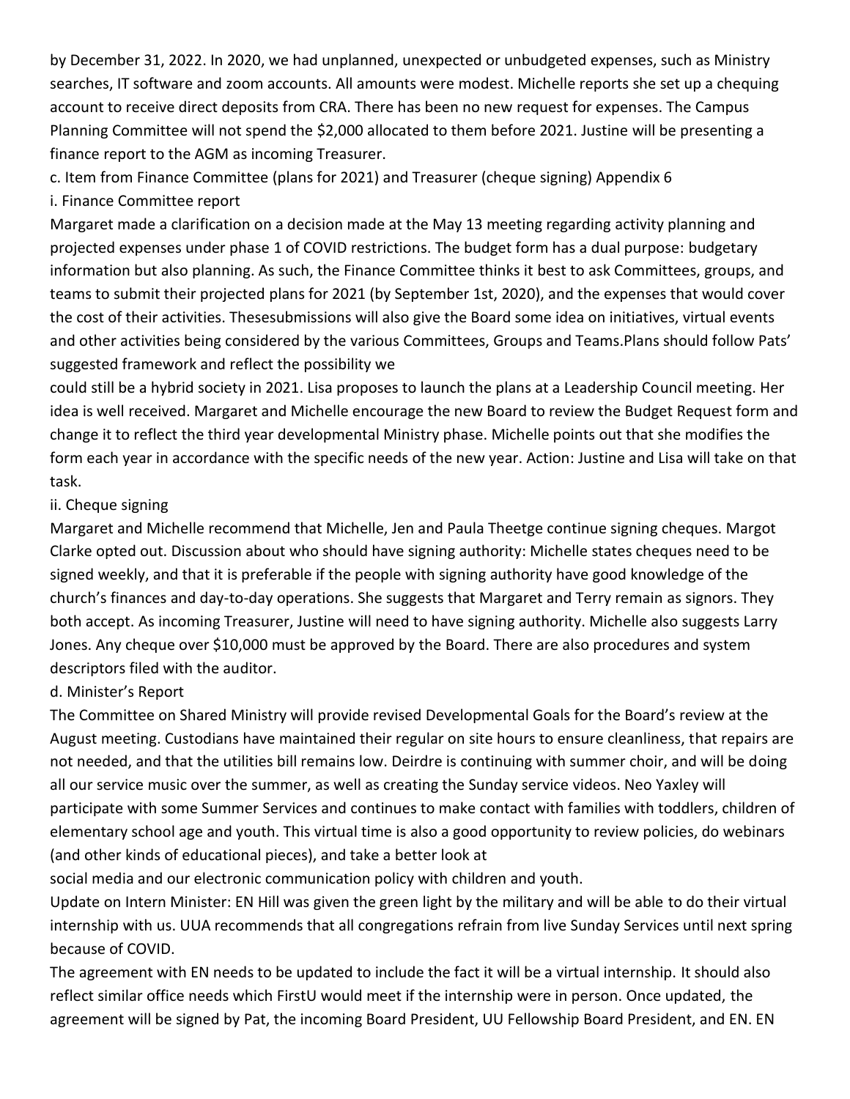by December 31, 2022. In 2020, we had unplanned, unexpected or unbudgeted expenses, such as Ministry searches, IT software and zoom accounts. All amounts were modest. Michelle reports she set up a chequing account to receive direct deposits from CRA. There has been no new request for expenses. The Campus Planning Committee will not spend the \$2,000 allocated to them before 2021. Justine will be presenting a finance report to the AGM as incoming Treasurer.

c. Item from Finance Committee (plans for 2021) and Treasurer (cheque signing) Appendix 6

i. Finance Committee report

Margaret made a clarification on a decision made at the May 13 meeting regarding activity planning and projected expenses under phase 1 of COVID restrictions. The budget form has a dual purpose: budgetary information but also planning. As such, the Finance Committee thinks it best to ask Committees, groups, and teams to submit their projected plans for 2021 (by September 1st, 2020), and the expenses that would cover the cost of their activities. Thesesubmissions will also give the Board some idea on initiatives, virtual events and other activities being considered by the various Committees, Groups and Teams.Plans should follow Pats' suggested framework and reflect the possibility we

could still be a hybrid society in 2021. Lisa proposes to launch the plans at a Leadership Council meeting. Her idea is well received. Margaret and Michelle encourage the new Board to review the Budget Request form and change it to reflect the third year developmental Ministry phase. Michelle points out that she modifies the form each year in accordance with the specific needs of the new year. Action: Justine and Lisa will take on that task.

## ii. Cheque signing

Margaret and Michelle recommend that Michelle, Jen and Paula Theetge continue signing cheques. Margot Clarke opted out. Discussion about who should have signing authority: Michelle states cheques need to be signed weekly, and that it is preferable if the people with signing authority have good knowledge of the church's finances and day-to-day operations. She suggests that Margaret and Terry remain as signors. They both accept. As incoming Treasurer, Justine will need to have signing authority. Michelle also suggests Larry Jones. Any cheque over \$10,000 must be approved by the Board. There are also procedures and system descriptors filed with the auditor.

# d. Minister's Report

The Committee on Shared Ministry will provide revised Developmental Goals for the Board's review at the August meeting. Custodians have maintained their regular on site hours to ensure cleanliness, that repairs are not needed, and that the utilities bill remains low. Deirdre is continuing with summer choir, and will be doing all our service music over the summer, as well as creating the Sunday service videos. Neo Yaxley will participate with some Summer Services and continues to make contact with families with toddlers, children of elementary school age and youth. This virtual time is also a good opportunity to review policies, do webinars (and other kinds of educational pieces), and take a better look at

social media and our electronic communication policy with children and youth.

Update on Intern Minister: EN Hill was given the green light by the military and will be able to do their virtual internship with us. UUA recommends that all congregations refrain from live Sunday Services until next spring because of COVID.

The agreement with EN needs to be updated to include the fact it will be a virtual internship. It should also reflect similar office needs which FirstU would meet if the internship were in person. Once updated, the agreement will be signed by Pat, the incoming Board President, UU Fellowship Board President, and EN. EN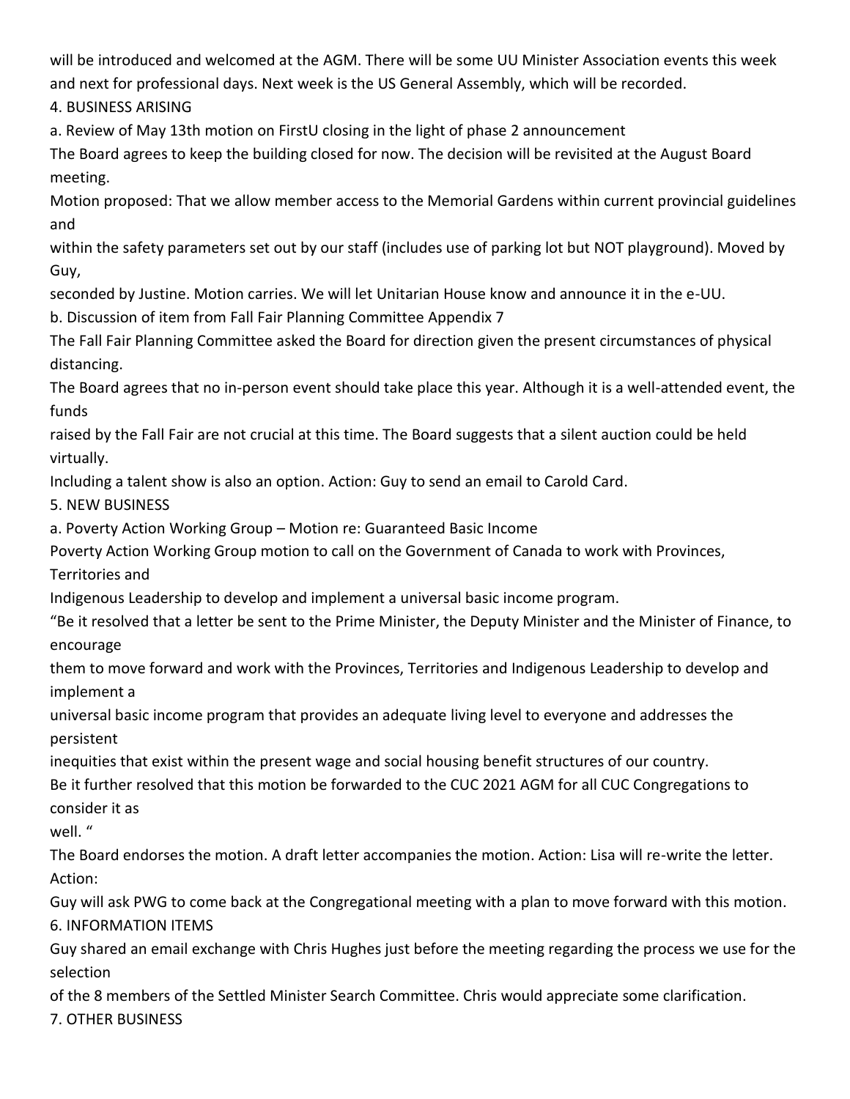will be introduced and welcomed at the AGM. There will be some UU Minister Association events this week and next for professional days. Next week is the US General Assembly, which will be recorded.

4. BUSINESS ARISING

a. Review of May 13th motion on FirstU closing in the light of phase 2 announcement

The Board agrees to keep the building closed for now. The decision will be revisited at the August Board meeting.

Motion proposed: That we allow member access to the Memorial Gardens within current provincial guidelines and

within the safety parameters set out by our staff (includes use of parking lot but NOT playground). Moved by Guy,

seconded by Justine. Motion carries. We will let Unitarian House know and announce it in the e-UU.

b. Discussion of item from Fall Fair Planning Committee Appendix 7

The Fall Fair Planning Committee asked the Board for direction given the present circumstances of physical distancing.

The Board agrees that no in-person event should take place this year. Although it is a well-attended event, the funds

raised by the Fall Fair are not crucial at this time. The Board suggests that a silent auction could be held virtually.

Including a talent show is also an option. Action: Guy to send an email to Carold Card.

5. NEW BUSINESS

a. Poverty Action Working Group – Motion re: Guaranteed Basic Income

Poverty Action Working Group motion to call on the Government of Canada to work with Provinces,

Territories and

Indigenous Leadership to develop and implement a universal basic income program.

"Be it resolved that a letter be sent to the Prime Minister, the Deputy Minister and the Minister of Finance, to encourage

them to move forward and work with the Provinces, Territories and Indigenous Leadership to develop and implement a

universal basic income program that provides an adequate living level to everyone and addresses the persistent

inequities that exist within the present wage and social housing benefit structures of our country.

Be it further resolved that this motion be forwarded to the CUC 2021 AGM for all CUC Congregations to consider it as

well. "

The Board endorses the motion. A draft letter accompanies the motion. Action: Lisa will re-write the letter. Action:

Guy will ask PWG to come back at the Congregational meeting with a plan to move forward with this motion. 6. INFORMATION ITEMS

Guy shared an email exchange with Chris Hughes just before the meeting regarding the process we use for the selection

of the 8 members of the Settled Minister Search Committee. Chris would appreciate some clarification.

7. OTHER BUSINESS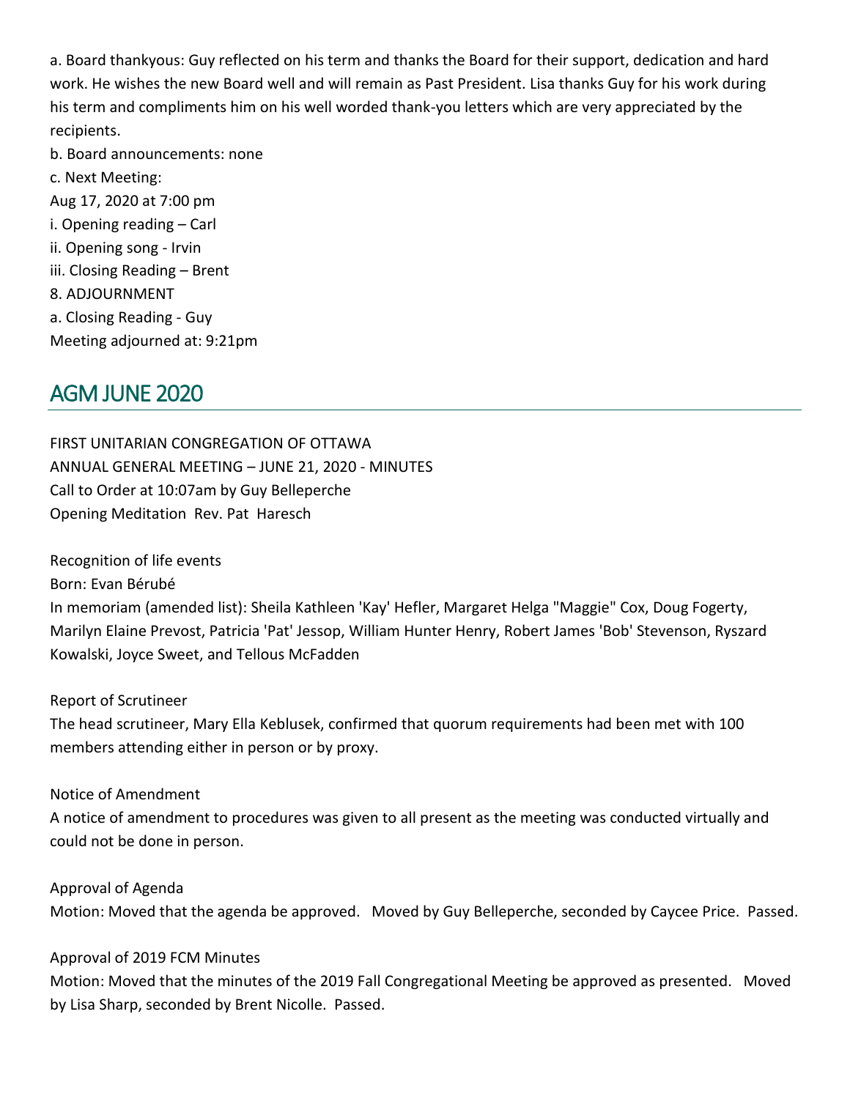a. Board thankyous: Guy reflected on his term and thanks the Board for their support, dedication and hard work. He wishes the new Board well and will remain as Past President. Lisa thanks Guy for his work during his term and compliments him on his well worded thank-you letters which are very appreciated by the recipients.

- b. Board announcements: none
- c. Next Meeting: Aug 17, 2020 at 7:00 pm i. Opening reading – Carl ii. Opening song - Irvin iii. Closing Reading – Brent 8. ADJOURNMENT a. Closing Reading - Guy Meeting adjourned at: 9:21pm

# <span id="page-24-0"></span>AGM JUNE 2020

FIRST UNITARIAN CONGREGATION OF OTTAWA ANNUAL GENERAL MEETING – JUNE 21, 2020 - MINUTES Call to Order at 10:07am by Guy Belleperche Opening Meditation Rev. Pat Haresch

Recognition of life events

Born: Evan Bérubé

In memoriam (amended list): Sheila Kathleen 'Kay' Hefler, Margaret Helga "Maggie" Cox, Doug Fogerty, Marilyn Elaine Prevost, Patricia 'Pat' Jessop, William Hunter Henry, Robert James 'Bob' Stevenson, Ryszard Kowalski, Joyce Sweet, and Tellous McFadden

Report of Scrutineer

The head scrutineer, Mary Ella Keblusek, confirmed that quorum requirements had been met with 100 members attending either in person or by proxy.

Notice of Amendment

A notice of amendment to procedures was given to all present as the meeting was conducted virtually and could not be done in person.

Approval of Agenda Motion: Moved that the agenda be approved. Moved by Guy Belleperche, seconded by Caycee Price. Passed.

Approval of 2019 FCM Minutes

Motion: Moved that the minutes of the 2019 Fall Congregational Meeting be approved as presented. Moved by Lisa Sharp, seconded by Brent Nicolle. Passed.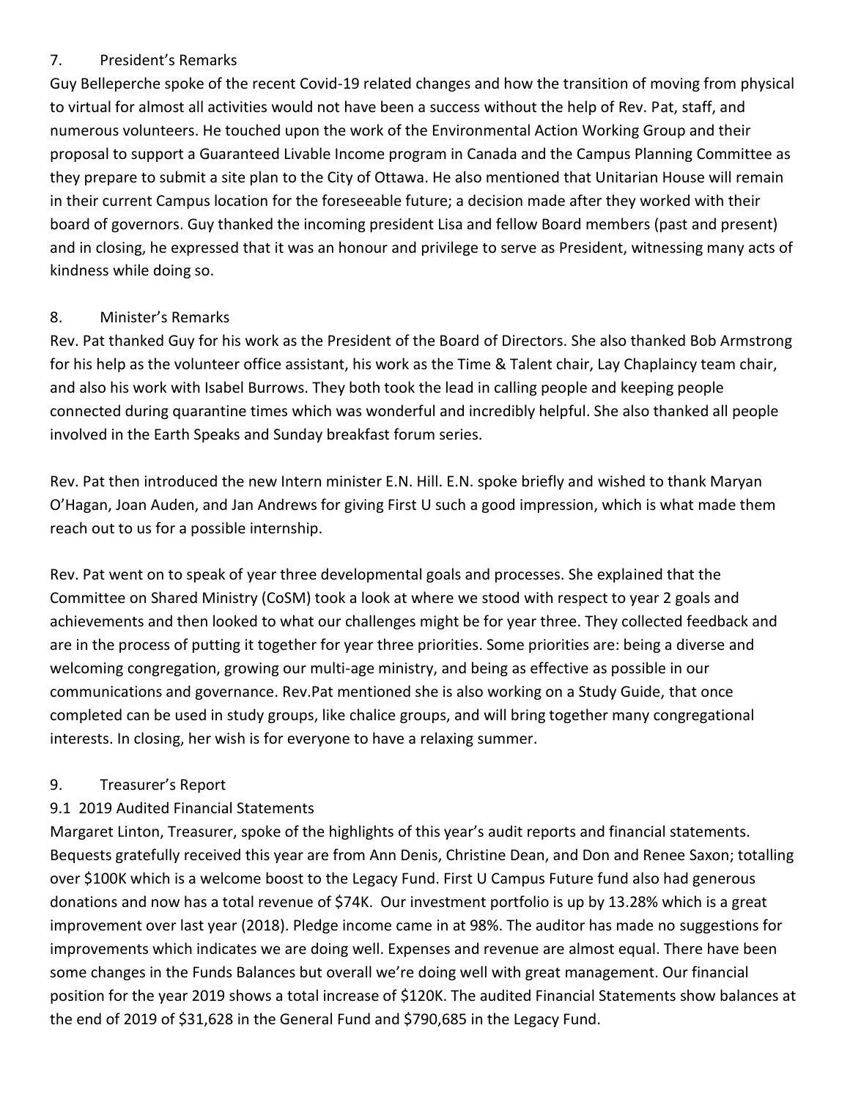## 7. President's Remarks

Guy Belleperche spoke of the recent Covid-19 related changes and how the transition of moving from physical to virtual for almost all activities would not have been a success without the help of Rev. Pat, staff, and numerous volunteers. He touched upon the work of the Environmental Action Working Group and their proposal to support a Guaranteed Livable Income program in Canada and the Campus Planning Committee as they prepare to submit a site plan to the City of Ottawa. He also mentioned that Unitarian House will remain in their current Campus location for the foreseeable future; a decision made after they worked with their board of governors. Guy thanked the incoming president Lisa and fellow Board members (past and present) and in closing, he expressed that it was an honour and privilege to serve as President, witnessing many acts of kindness while doing so.

## 8. Minister's Remarks

Rev. Pat thanked Guy for his work as the President of the Board of Directors. She also thanked Bob Armstrong for his help as the volunteer office assistant, his work as the Time & Talent chair, Lay Chaplaincy team chair, and also his work with Isabel Burrows. They both took the lead in calling people and keeping people connected during quarantine times which was wonderful and incredibly helpful. She also thanked all people involved in the Earth Speaks and Sunday breakfast forum series.

Rev. Pat then introduced the new Intern minister E.N. Hill. E.N. spoke briefly and wished to thank Maryan O'Hagan, Joan Auden, and Jan Andrews for giving First U such a good impression, which is what made them reach out to us for a possible internship.

Rev. Pat went on to speak of year three developmental goals and processes. She explained that the Committee on Shared Ministry (CoSM) took a look at where we stood with respect to year 2 goals and achievements and then looked to what our challenges might be for year three. They collected feedback and are in the process of putting it together for year three priorities. Some priorities are: being a diverse and welcoming congregation, growing our multi-age ministry, and being as effective as possible in our communications and governance. Rev.Pat mentioned she is also working on a Study Guide, that once completed can be used in study groups, like chalice groups, and will bring together many congregational interests. In closing, her wish is for everyone to have a relaxing summer.

# 9. Treasurer's Report

# 9.1 2019 Audited Financial Statements

Margaret Linton, Treasurer, spoke of the highlights of this year's audit reports and financial statements. Bequests gratefully received this year are from Ann Denis, Christine Dean, and Don and Renee Saxon; totalling over \$100K which is a welcome boost to the Legacy Fund. First U Campus Future fund also had generous donations and now has a total revenue of \$74K. Our investment portfolio is up by 13.28% which is a great improvement over last year (2018). Pledge income came in at 98%. The auditor has made no suggestions for improvements which indicates we are doing well. Expenses and revenue are almost equal. There have been some changes in the Funds Balances but overall we're doing well with great management. Our financial position for the year 2019 shows a total increase of \$120K. The audited Financial Statements show balances at the end of 2019 of \$31,628 in the General Fund and \$790,685 in the Legacy Fund.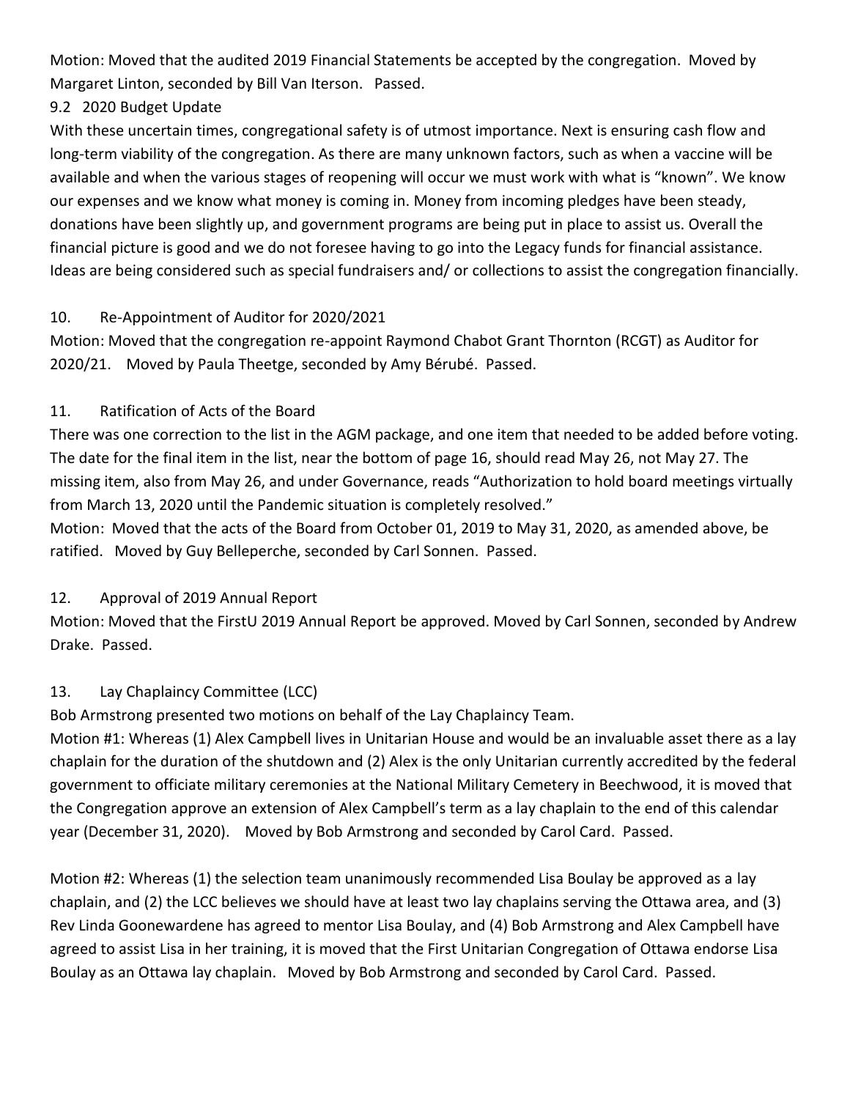Motion: Moved that the audited 2019 Financial Statements be accepted by the congregation. Moved by Margaret Linton, seconded by Bill Van Iterson. Passed.

# 9.2 2020 Budget Update

With these uncertain times, congregational safety is of utmost importance. Next is ensuring cash flow and long-term viability of the congregation. As there are many unknown factors, such as when a vaccine will be available and when the various stages of reopening will occur we must work with what is "known". We know our expenses and we know what money is coming in. Money from incoming pledges have been steady, donations have been slightly up, and government programs are being put in place to assist us. Overall the financial picture is good and we do not foresee having to go into the Legacy funds for financial assistance. Ideas are being considered such as special fundraisers and/ or collections to assist the congregation financially.

## 10. Re-Appointment of Auditor for 2020/2021

Motion: Moved that the congregation re-appoint Raymond Chabot Grant Thornton (RCGT) as Auditor for 2020/21. Moved by Paula Theetge, seconded by Amy Bérubé. Passed.

## 11. Ratification of Acts of the Board

There was one correction to the list in the AGM package, and one item that needed to be added before voting. The date for the final item in the list, near the bottom of page 16, should read May 26, not May 27. The missing item, also from May 26, and under Governance, reads "Authorization to hold board meetings virtually from March 13, 2020 until the Pandemic situation is completely resolved."

Motion: Moved that the acts of the Board from October 01, 2019 to May 31, 2020, as amended above, be ratified. Moved by Guy Belleperche, seconded by Carl Sonnen. Passed.

# 12. Approval of 2019 Annual Report

Motion: Moved that the FirstU 2019 Annual Report be approved. Moved by Carl Sonnen, seconded by Andrew Drake. Passed.

# 13. Lay Chaplaincy Committee (LCC)

Bob Armstrong presented two motions on behalf of the Lay Chaplaincy Team.

Motion #1: Whereas (1) Alex Campbell lives in Unitarian House and would be an invaluable asset there as a lay chaplain for the duration of the shutdown and (2) Alex is the only Unitarian currently accredited by the federal government to officiate military ceremonies at the National Military Cemetery in Beechwood, it is moved that the Congregation approve an extension of Alex Campbell's term as a lay chaplain to the end of this calendar year (December 31, 2020). Moved by Bob Armstrong and seconded by Carol Card. Passed.

Motion #2: Whereas (1) the selection team unanimously recommended Lisa Boulay be approved as a lay chaplain, and (2) the LCC believes we should have at least two lay chaplains serving the Ottawa area, and (3) Rev Linda Goonewardene has agreed to mentor Lisa Boulay, and (4) Bob Armstrong and Alex Campbell have agreed to assist Lisa in her training, it is moved that the First Unitarian Congregation of Ottawa endorse Lisa Boulay as an Ottawa lay chaplain. Moved by Bob Armstrong and seconded by Carol Card. Passed.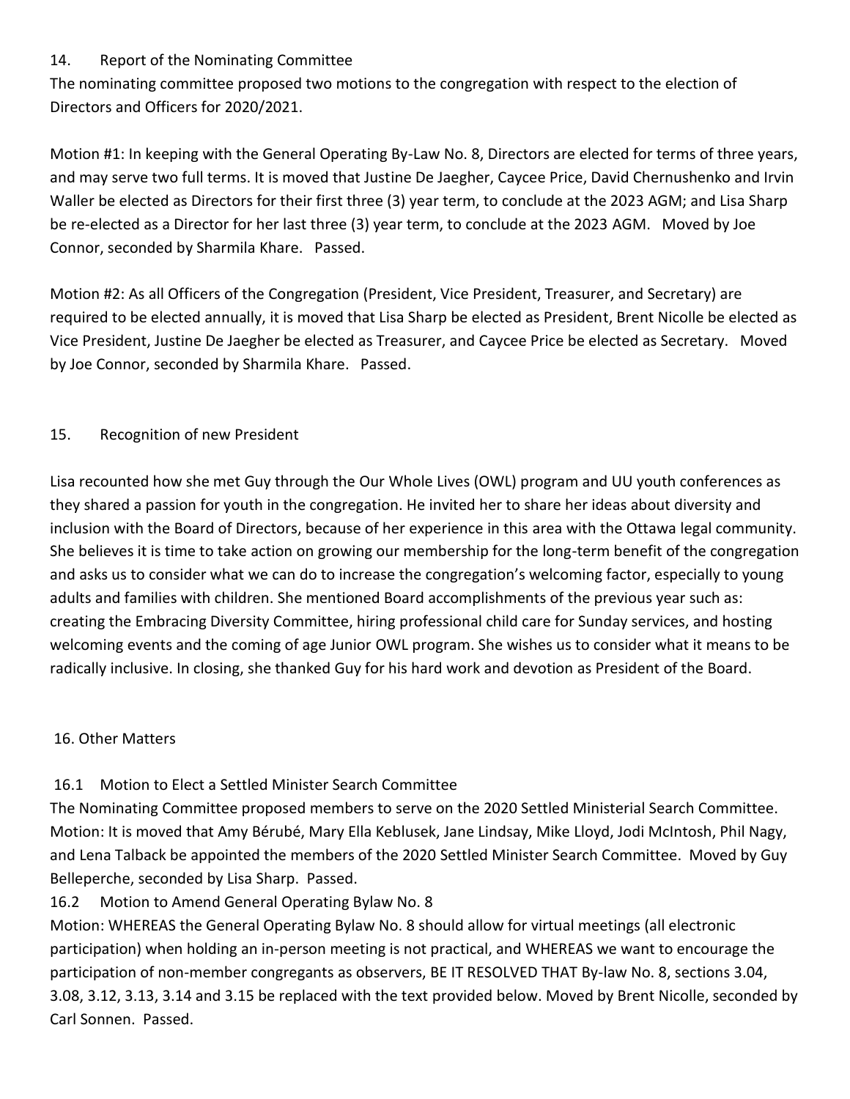## 14. Report of the Nominating Committee

The nominating committee proposed two motions to the congregation with respect to the election of Directors and Officers for 2020/2021.

Motion #1: In keeping with the General Operating By-Law No. 8, Directors are elected for terms of three years, and may serve two full terms. It is moved that Justine De Jaegher, Caycee Price, David Chernushenko and Irvin Waller be elected as Directors for their first three (3) year term, to conclude at the 2023 AGM; and Lisa Sharp be re-elected as a Director for her last three (3) year term, to conclude at the 2023 AGM. Moved by Joe Connor, seconded by Sharmila Khare. Passed.

Motion #2: As all Officers of the Congregation (President, Vice President, Treasurer, and Secretary) are required to be elected annually, it is moved that Lisa Sharp be elected as President, Brent Nicolle be elected as Vice President, Justine De Jaegher be elected as Treasurer, and Caycee Price be elected as Secretary. Moved by Joe Connor, seconded by Sharmila Khare. Passed.

# 15. Recognition of new President

Lisa recounted how she met Guy through the Our Whole Lives (OWL) program and UU youth conferences as they shared a passion for youth in the congregation. He invited her to share her ideas about diversity and inclusion with the Board of Directors, because of her experience in this area with the Ottawa legal community. She believes it is time to take action on growing our membership for the long-term benefit of the congregation and asks us to consider what we can do to increase the congregation's welcoming factor, especially to young adults and families with children. She mentioned Board accomplishments of the previous year such as: creating the Embracing Diversity Committee, hiring professional child care for Sunday services, and hosting welcoming events and the coming of age Junior OWL program. She wishes us to consider what it means to be radically inclusive. In closing, she thanked Guy for his hard work and devotion as President of the Board.

### 16. Other Matters

# 16.1 Motion to Elect a Settled Minister Search Committee

The Nominating Committee proposed members to serve on the 2020 Settled Ministerial Search Committee. Motion: It is moved that Amy Bérubé, Mary Ella Keblusek, Jane Lindsay, Mike Lloyd, Jodi McIntosh, Phil Nagy, and Lena Talback be appointed the members of the 2020 Settled Minister Search Committee. Moved by Guy Belleperche, seconded by Lisa Sharp. Passed.

# 16.2 Motion to Amend General Operating Bylaw No. 8

Motion: WHEREAS the General Operating Bylaw No. 8 should allow for virtual meetings (all electronic participation) when holding an in-person meeting is not practical, and WHEREAS we want to encourage the participation of non-member congregants as observers, BE IT RESOLVED THAT By-law No. 8, sections 3.04, 3.08, 3.12, 3.13, 3.14 and 3.15 be replaced with the text provided below. Moved by Brent Nicolle, seconded by Carl Sonnen. Passed.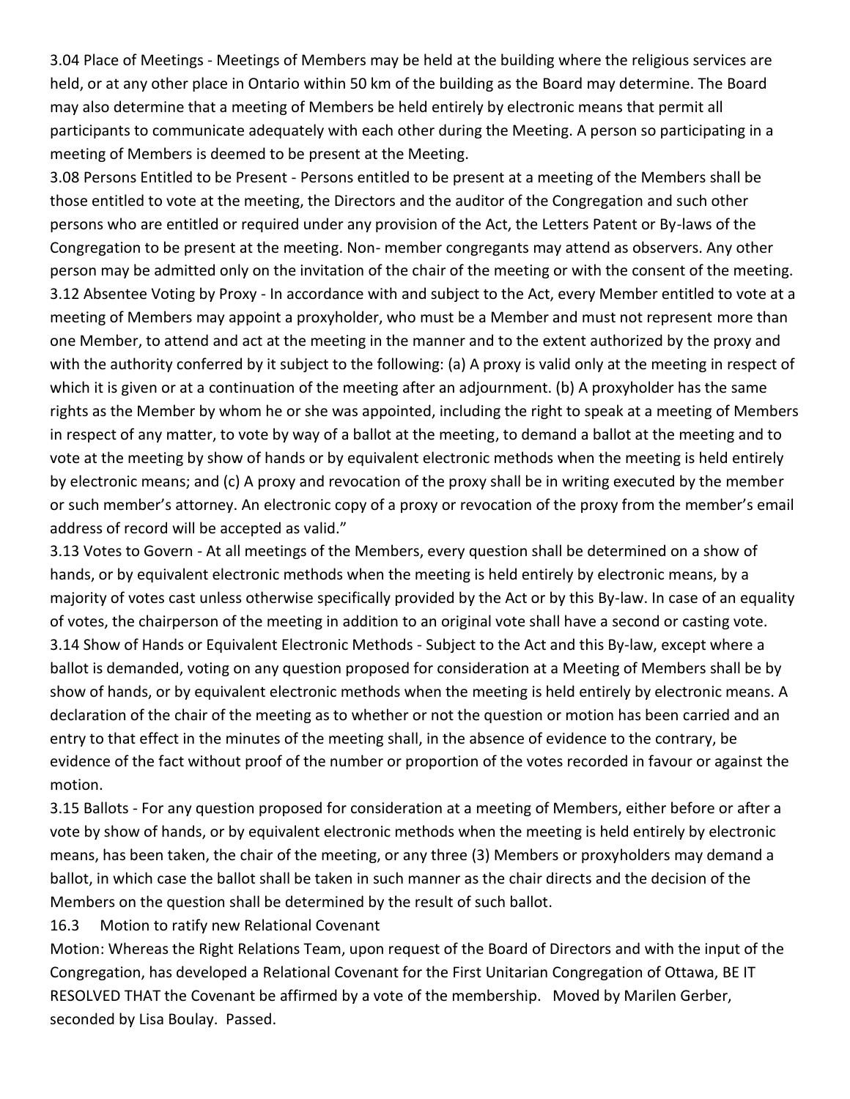3.04 Place of Meetings - Meetings of Members may be held at the building where the religious services are held, or at any other place in Ontario within 50 km of the building as the Board may determine. The Board may also determine that a meeting of Members be held entirely by electronic means that permit all participants to communicate adequately with each other during the Meeting. A person so participating in a meeting of Members is deemed to be present at the Meeting.

3.08 Persons Entitled to be Present - Persons entitled to be present at a meeting of the Members shall be those entitled to vote at the meeting, the Directors and the auditor of the Congregation and such other persons who are entitled or required under any provision of the Act, the Letters Patent or By-laws of the Congregation to be present at the meeting. Non- member congregants may attend as observers. Any other person may be admitted only on the invitation of the chair of the meeting or with the consent of the meeting. 3.12 Absentee Voting by Proxy - In accordance with and subject to the Act, every Member entitled to vote at a meeting of Members may appoint a proxyholder, who must be a Member and must not represent more than one Member, to attend and act at the meeting in the manner and to the extent authorized by the proxy and with the authority conferred by it subject to the following: (a) A proxy is valid only at the meeting in respect of which it is given or at a continuation of the meeting after an adjournment. (b) A proxyholder has the same rights as the Member by whom he or she was appointed, including the right to speak at a meeting of Members in respect of any matter, to vote by way of a ballot at the meeting, to demand a ballot at the meeting and to vote at the meeting by show of hands or by equivalent electronic methods when the meeting is held entirely by electronic means; and (c) A proxy and revocation of the proxy shall be in writing executed by the member or such member's attorney. An electronic copy of a proxy or revocation of the proxy from the member's email address of record will be accepted as valid."

3.13 Votes to Govern - At all meetings of the Members, every question shall be determined on a show of hands, or by equivalent electronic methods when the meeting is held entirely by electronic means, by a majority of votes cast unless otherwise specifically provided by the Act or by this By-law. In case of an equality of votes, the chairperson of the meeting in addition to an original vote shall have a second or casting vote. 3.14 Show of Hands or Equivalent Electronic Methods - Subject to the Act and this By-law, except where a ballot is demanded, voting on any question proposed for consideration at a Meeting of Members shall be by show of hands, or by equivalent electronic methods when the meeting is held entirely by electronic means. A declaration of the chair of the meeting as to whether or not the question or motion has been carried and an entry to that effect in the minutes of the meeting shall, in the absence of evidence to the contrary, be evidence of the fact without proof of the number or proportion of the votes recorded in favour or against the motion.

3.15 Ballots - For any question proposed for consideration at a meeting of Members, either before or after a vote by show of hands, or by equivalent electronic methods when the meeting is held entirely by electronic means, has been taken, the chair of the meeting, or any three (3) Members or proxyholders may demand a ballot, in which case the ballot shall be taken in such manner as the chair directs and the decision of the Members on the question shall be determined by the result of such ballot.

16.3 Motion to ratify new Relational Covenant

Motion: Whereas the Right Relations Team, upon request of the Board of Directors and with the input of the Congregation, has developed a Relational Covenant for the First Unitarian Congregation of Ottawa, BE IT RESOLVED THAT the Covenant be affirmed by a vote of the membership. Moved by Marilen Gerber, seconded by Lisa Boulay. Passed.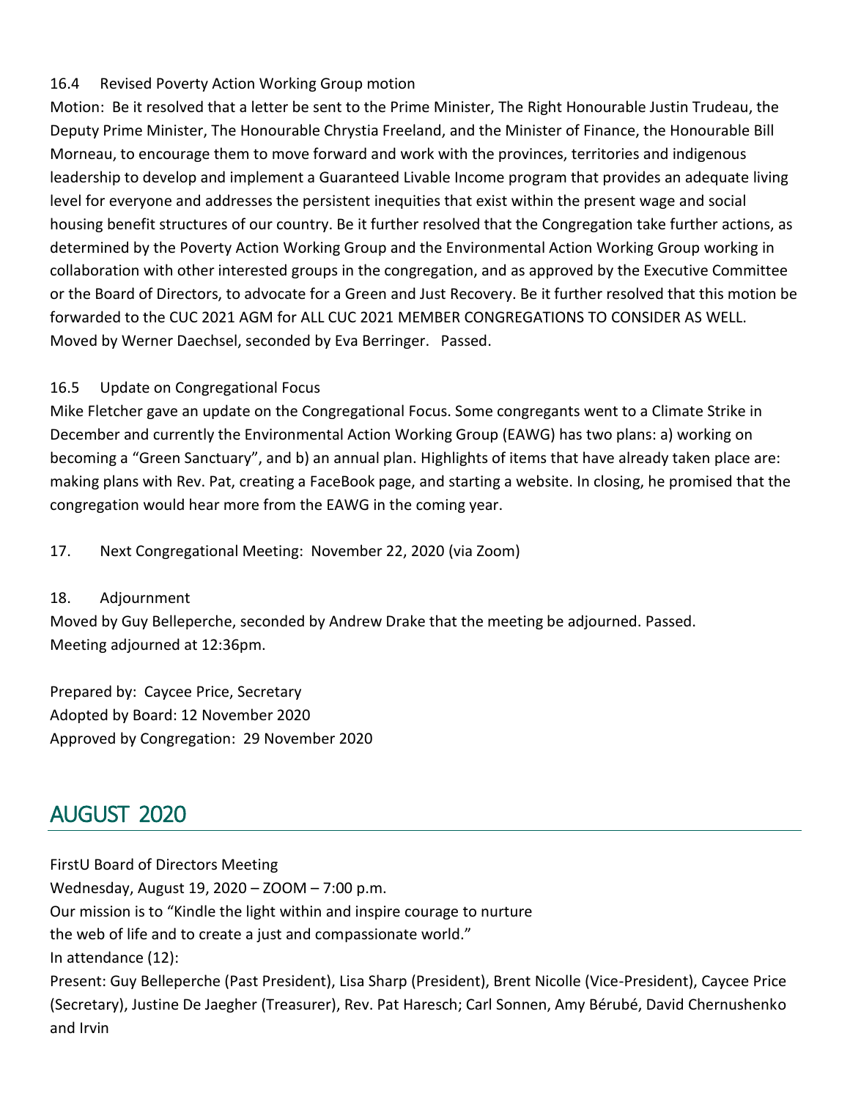## 16.4 Revised Poverty Action Working Group motion

Motion: Be it resolved that a letter be sent to the Prime Minister, The Right Honourable Justin Trudeau, the Deputy Prime Minister, The Honourable Chrystia Freeland, and the Minister of Finance, the Honourable Bill Morneau, to encourage them to move forward and work with the provinces, territories and indigenous leadership to develop and implement a Guaranteed Livable Income program that provides an adequate living level for everyone and addresses the persistent inequities that exist within the present wage and social housing benefit structures of our country. Be it further resolved that the Congregation take further actions, as determined by the Poverty Action Working Group and the Environmental Action Working Group working in collaboration with other interested groups in the congregation, and as approved by the Executive Committee or the Board of Directors, to advocate for a Green and Just Recovery. Be it further resolved that this motion be forwarded to the CUC 2021 AGM for ALL CUC 2021 MEMBER CONGREGATIONS TO CONSIDER AS WELL. Moved by Werner Daechsel, seconded by Eva Berringer. Passed.

## 16.5 Update on Congregational Focus

Mike Fletcher gave an update on the Congregational Focus. Some congregants went to a Climate Strike in December and currently the Environmental Action Working Group (EAWG) has two plans: a) working on becoming a "Green Sanctuary", and b) an annual plan. Highlights of items that have already taken place are: making plans with Rev. Pat, creating a FaceBook page, and starting a website. In closing, he promised that the congregation would hear more from the EAWG in the coming year.

17. Next Congregational Meeting: November 22, 2020 (via Zoom)

### 18. Adjournment

Moved by Guy Belleperche, seconded by Andrew Drake that the meeting be adjourned. Passed. Meeting adjourned at 12:36pm.

Prepared by: Caycee Price, Secretary Adopted by Board: 12 November 2020 Approved by Congregation: 29 November 2020

# <span id="page-29-0"></span>AUGUST 2020

FirstU Board of Directors Meeting Wednesday, August 19, 2020 – ZOOM – 7:00 p.m. Our mission is to "Kindle the light within and inspire courage to nurture the web of life and to create a just and compassionate world." In attendance (12): Present: Guy Belleperche (Past President), Lisa Sharp (President), Brent Nicolle (Vice-President), Caycee Price (Secretary), Justine De Jaegher (Treasurer), Rev. Pat Haresch; Carl Sonnen, Amy Bérubé, David Chernushenko and Irvin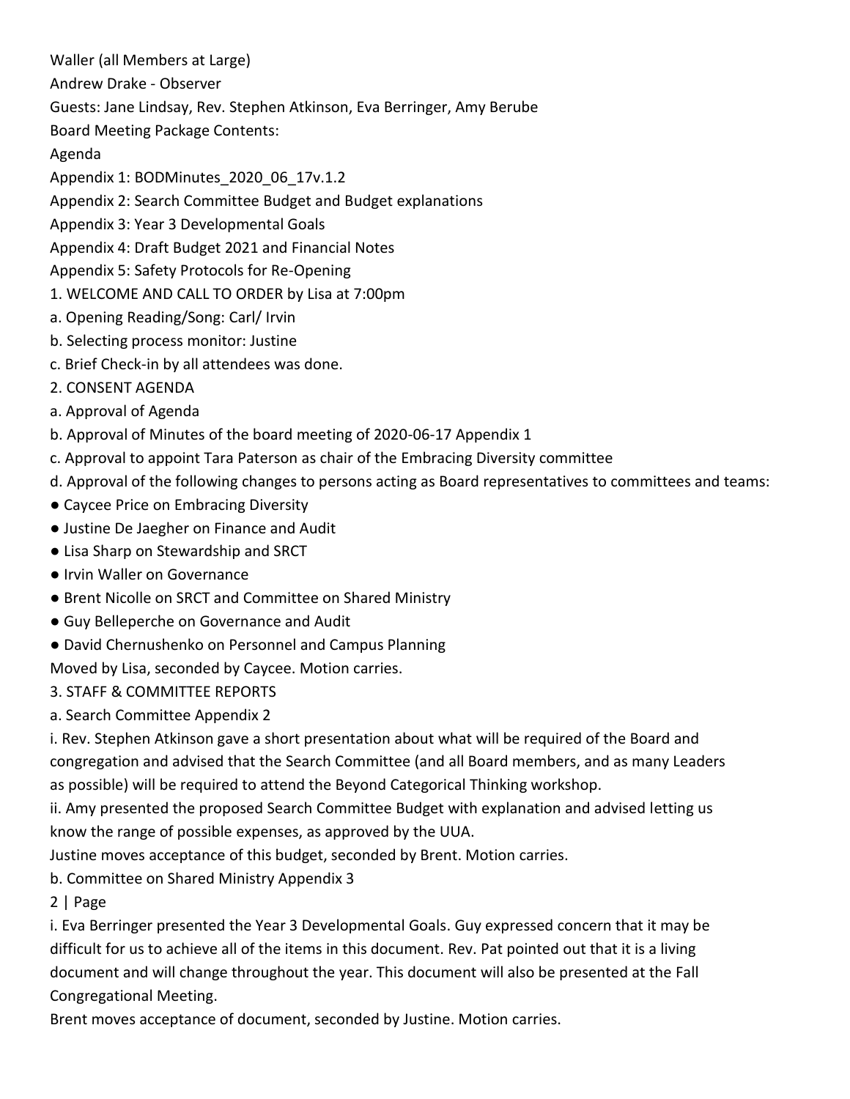Waller (all Members at Large)

Andrew Drake - Observer

Guests: Jane Lindsay, Rev. Stephen Atkinson, Eva Berringer, Amy Berube

Board Meeting Package Contents:

Agenda

Appendix 1: BODMinutes\_2020\_06\_17v.1.2

Appendix 2: Search Committee Budget and Budget explanations

Appendix 3: Year 3 Developmental Goals

Appendix 4: Draft Budget 2021 and Financial Notes

Appendix 5: Safety Protocols for Re-Opening

1. WELCOME AND CALL TO ORDER by Lisa at 7:00pm

a. Opening Reading/Song: Carl/ Irvin

b. Selecting process monitor: Justine

c. Brief Check-in by all attendees was done.

2. CONSENT AGENDA

a. Approval of Agenda

b. Approval of Minutes of the board meeting of 2020-06-17 Appendix 1

c. Approval to appoint Tara Paterson as chair of the Embracing Diversity committee

d. Approval of the following changes to persons acting as Board representatives to committees and teams:

● Caycee Price on Embracing Diversity

● Justine De Jaegher on Finance and Audit

● Lisa Sharp on Stewardship and SRCT

● Irvin Waller on Governance

● Brent Nicolle on SRCT and Committee on Shared Ministry

● Guy Belleperche on Governance and Audit

● David Chernushenko on Personnel and Campus Planning

Moved by Lisa, seconded by Caycee. Motion carries.

3. STAFF & COMMITTEE REPORTS

a. Search Committee Appendix 2

i. Rev. Stephen Atkinson gave a short presentation about what will be required of the Board and congregation and advised that the Search Committee (and all Board members, and as many Leaders as possible) will be required to attend the Beyond Categorical Thinking workshop.

ii. Amy presented the proposed Search Committee Budget with explanation and advised letting us know the range of possible expenses, as approved by the UUA.

Justine moves acceptance of this budget, seconded by Brent. Motion carries.

b. Committee on Shared Ministry Appendix 3

2 | Page

i. Eva Berringer presented the Year 3 Developmental Goals. Guy expressed concern that it may be difficult for us to achieve all of the items in this document. Rev. Pat pointed out that it is a living document and will change throughout the year. This document will also be presented at the Fall Congregational Meeting.

Brent moves acceptance of document, seconded by Justine. Motion carries.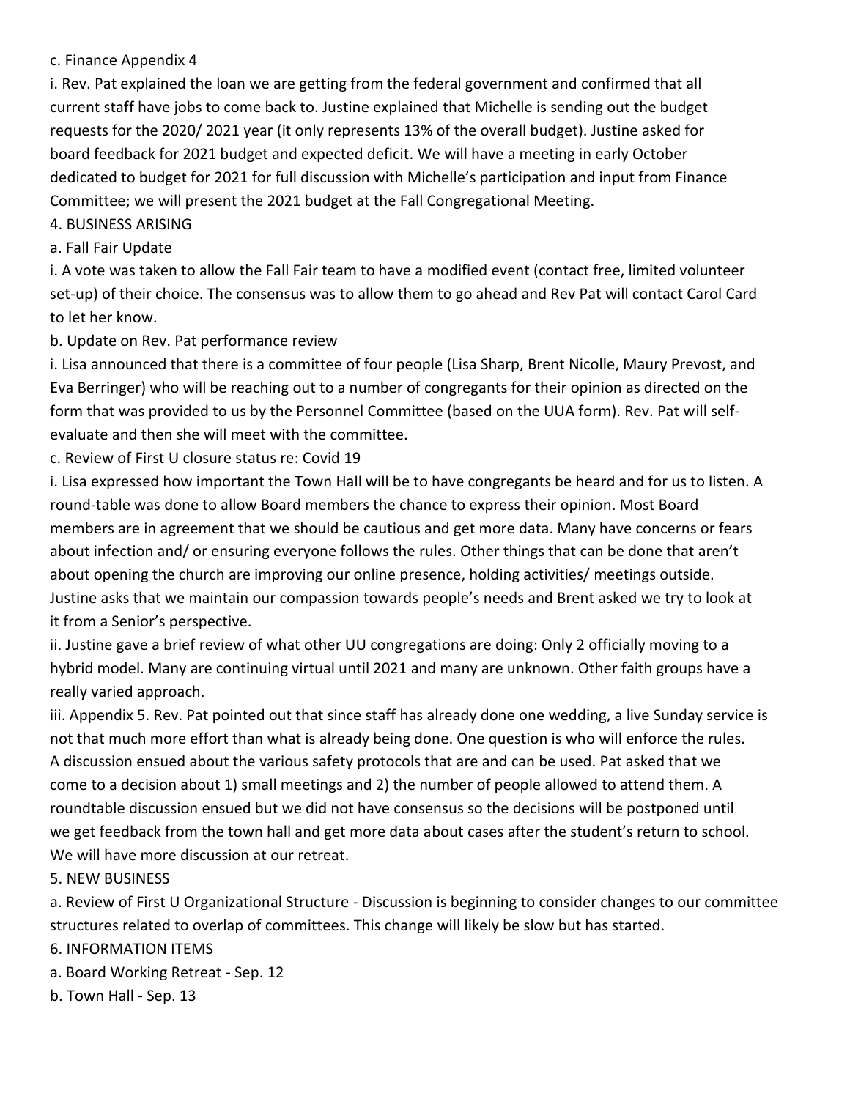#### c. Finance Appendix 4

i. Rev. Pat explained the loan we are getting from the federal government and confirmed that all current staff have jobs to come back to. Justine explained that Michelle is sending out the budget requests for the 2020/ 2021 year (it only represents 13% of the overall budget). Justine asked for board feedback for 2021 budget and expected deficit. We will have a meeting in early October dedicated to budget for 2021 for full discussion with Michelle's participation and input from Finance Committee; we will present the 2021 budget at the Fall Congregational Meeting.

#### 4. BUSINESS ARISING

#### a. Fall Fair Update

i. A vote was taken to allow the Fall Fair team to have a modified event (contact free, limited volunteer set-up) of their choice. The consensus was to allow them to go ahead and Rev Pat will contact Carol Card to let her know.

#### b. Update on Rev. Pat performance review

i. Lisa announced that there is a committee of four people (Lisa Sharp, Brent Nicolle, Maury Prevost, and Eva Berringer) who will be reaching out to a number of congregants for their opinion as directed on the form that was provided to us by the Personnel Committee (based on the UUA form). Rev. Pat will selfevaluate and then she will meet with the committee.

### c. Review of First U closure status re: Covid 19

i. Lisa expressed how important the Town Hall will be to have congregants be heard and for us to listen. A round-table was done to allow Board members the chance to express their opinion. Most Board members are in agreement that we should be cautious and get more data. Many have concerns or fears about infection and/ or ensuring everyone follows the rules. Other things that can be done that aren't about opening the church are improving our online presence, holding activities/ meetings outside. Justine asks that we maintain our compassion towards people's needs and Brent asked we try to look at it from a Senior's perspective.

ii. Justine gave a brief review of what other UU congregations are doing: Only 2 officially moving to a hybrid model. Many are continuing virtual until 2021 and many are unknown. Other faith groups have a really varied approach.

iii. Appendix 5. Rev. Pat pointed out that since staff has already done one wedding, a live Sunday service is not that much more effort than what is already being done. One question is who will enforce the rules. A discussion ensued about the various safety protocols that are and can be used. Pat asked that we come to a decision about 1) small meetings and 2) the number of people allowed to attend them. A roundtable discussion ensued but we did not have consensus so the decisions will be postponed until we get feedback from the town hall and get more data about cases after the student's return to school. We will have more discussion at our retreat.

### 5. NEW BUSINESS

a. Review of First U Organizational Structure - Discussion is beginning to consider changes to our committee structures related to overlap of committees. This change will likely be slow but has started.

#### 6. INFORMATION ITEMS

- a. Board Working Retreat Sep. 12
- b. Town Hall Sep. 13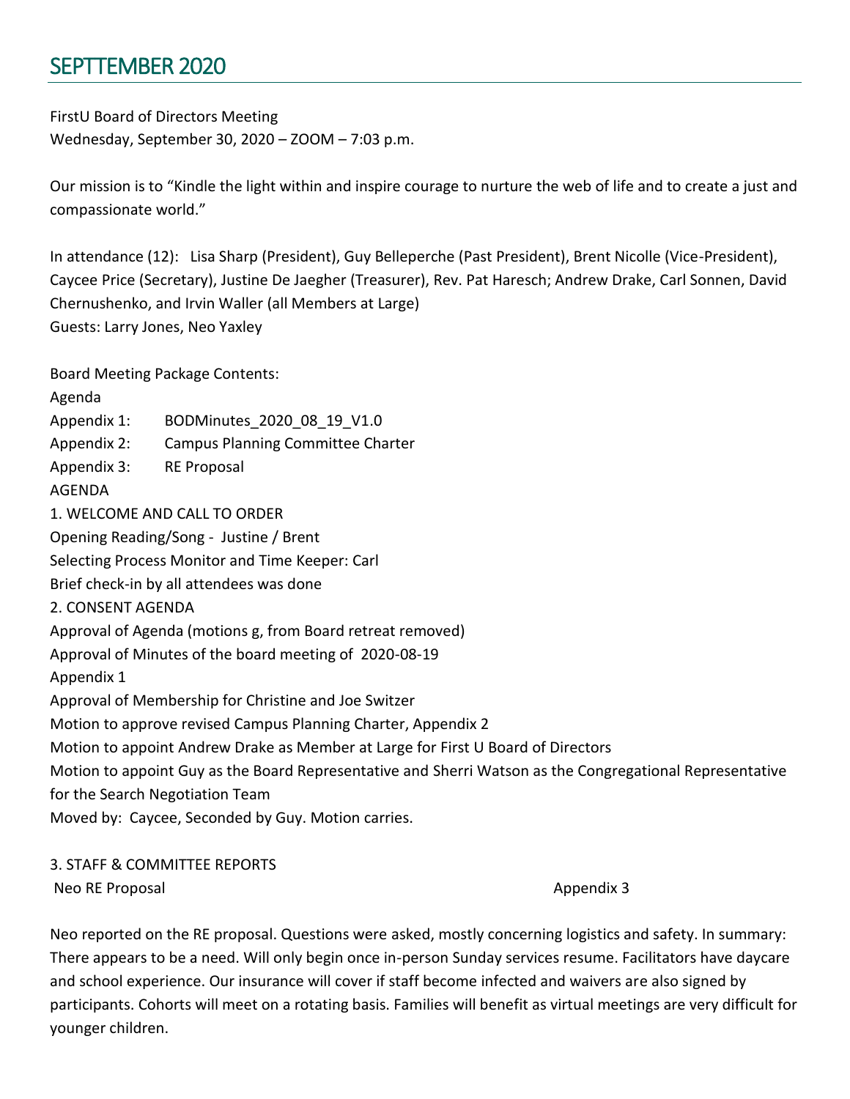# <span id="page-32-0"></span>SEPTTEMBER 2020

FirstU Board of Directors Meeting Wednesday, September 30, 2020 – ZOOM – 7:03 p.m.

Our mission is to "Kindle the light within and inspire courage to nurture the web of life and to create a just and compassionate world."

In attendance (12): Lisa Sharp (President), Guy Belleperche (Past President), Brent Nicolle (Vice-President), Caycee Price (Secretary), Justine De Jaegher (Treasurer), Rev. Pat Haresch; Andrew Drake, Carl Sonnen, David Chernushenko, and Irvin Waller (all Members at Large) Guests: Larry Jones, Neo Yaxley

Board Meeting Package Contents:

Agenda Appendix 1: BODMinutes 2020 08 19 V1.0 Appendix 2: Campus Planning Committee Charter Appendix 3: RE Proposal AGENDA 1. WELCOME AND CALL TO ORDER Opening Reading/Song - Justine / Brent Selecting Process Monitor and Time Keeper: Carl Brief check-in by all attendees was done 2. CONSENT AGENDA Approval of Agenda (motions g, from Board retreat removed) Approval of Minutes of the board meeting of 2020-08-19 Appendix 1 Approval of Membership for Christine and Joe Switzer Motion to approve revised Campus Planning Charter, Appendix 2 Motion to appoint Andrew Drake as Member at Large for First U Board of Directors Motion to appoint Guy as the Board Representative and Sherri Watson as the Congregational Representative for the Search Negotiation Team Moved by: Caycee, Seconded by Guy. Motion carries.

#### 3. STAFF & COMMITTEE REPORTS Neo RE Proposal and the set of the set of the set of the set of the set of the set of the set of the set of the set of the set of the set of the set of the set of the set of the set of the set of the set of the set of the

Neo reported on the RE proposal. Questions were asked, mostly concerning logistics and safety. In summary: There appears to be a need. Will only begin once in-person Sunday services resume. Facilitators have daycare and school experience. Our insurance will cover if staff become infected and waivers are also signed by participants. Cohorts will meet on a rotating basis. Families will benefit as virtual meetings are very difficult for younger children.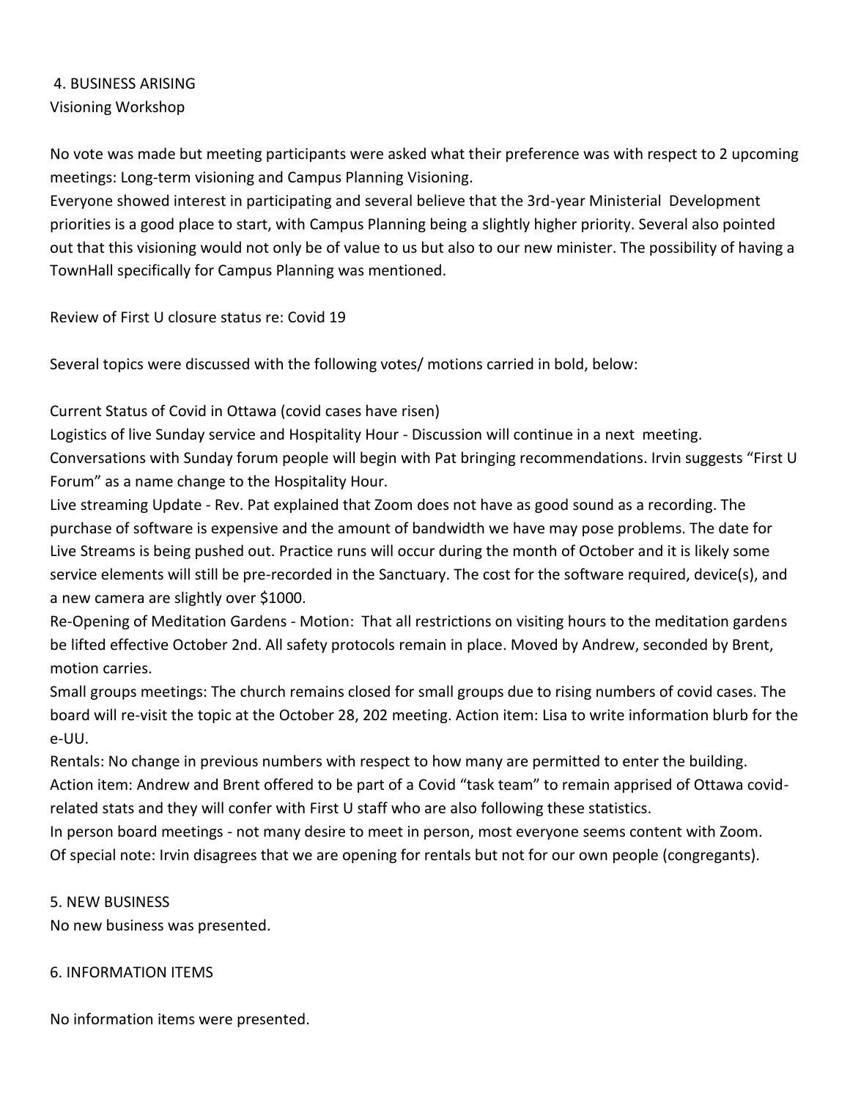# 4. BUSINESS ARISING Visioning Workshop

No vote was made but meeting participants were asked what their preference was with respect to 2 upcoming meetings: Long-term visioning and Campus Planning Visioning.

Everyone showed interest in participating and several believe that the 3rd-year Ministerial Development priorities is a good place to start, with Campus Planning being a slightly higher priority. Several also pointed out that this visioning would not only be of value to us but also to our new minister. The possibility of having a TownHall specifically for Campus Planning was mentioned.

Review of First U closure status re: Covid 19

Several topics were discussed with the following votes/ motions carried in bold, below:

# Current Status of Covid in Ottawa (covid cases have risen)

Logistics of live Sunday service and Hospitality Hour - Discussion will continue in a next meeting. Conversations with Sunday forum people will begin with Pat bringing recommendations. Irvin suggests "First U Forum" as a name change to the Hospitality Hour.

Live streaming Update - Rev. Pat explained that Zoom does not have as good sound as a recording. The purchase of software is expensive and the amount of bandwidth we have may pose problems. The date for Live Streams is being pushed out. Practice runs will occur during the month of October and it is likely some service elements will still be pre-recorded in the Sanctuary. The cost for the software required, device(s), and a new camera are slightly over \$1000.

Re-Opening of Meditation Gardens - Motion: That all restrictions on visiting hours to the meditation gardens be lifted effective October 2nd. All safety protocols remain in place. Moved by Andrew, seconded by Brent, motion carries.

Small groups meetings: The church remains closed for small groups due to rising numbers of covid cases. The board will re-visit the topic at the October 28, 202 meeting. Action item: Lisa to write information blurb for the e-UU.

Rentals: No change in previous numbers with respect to how many are permitted to enter the building. Action item: Andrew and Brent offered to be part of a Covid "task team" to remain apprised of Ottawa covidrelated stats and they will confer with First U staff who are also following these statistics.

In person board meetings - not many desire to meet in person, most everyone seems content with Zoom. Of special note: Irvin disagrees that we are opening for rentals but not for our own people (congregants).

### 5. NEW BUSINESS

No new business was presented.

### 6. INFORMATION ITEMS

No information items were presented.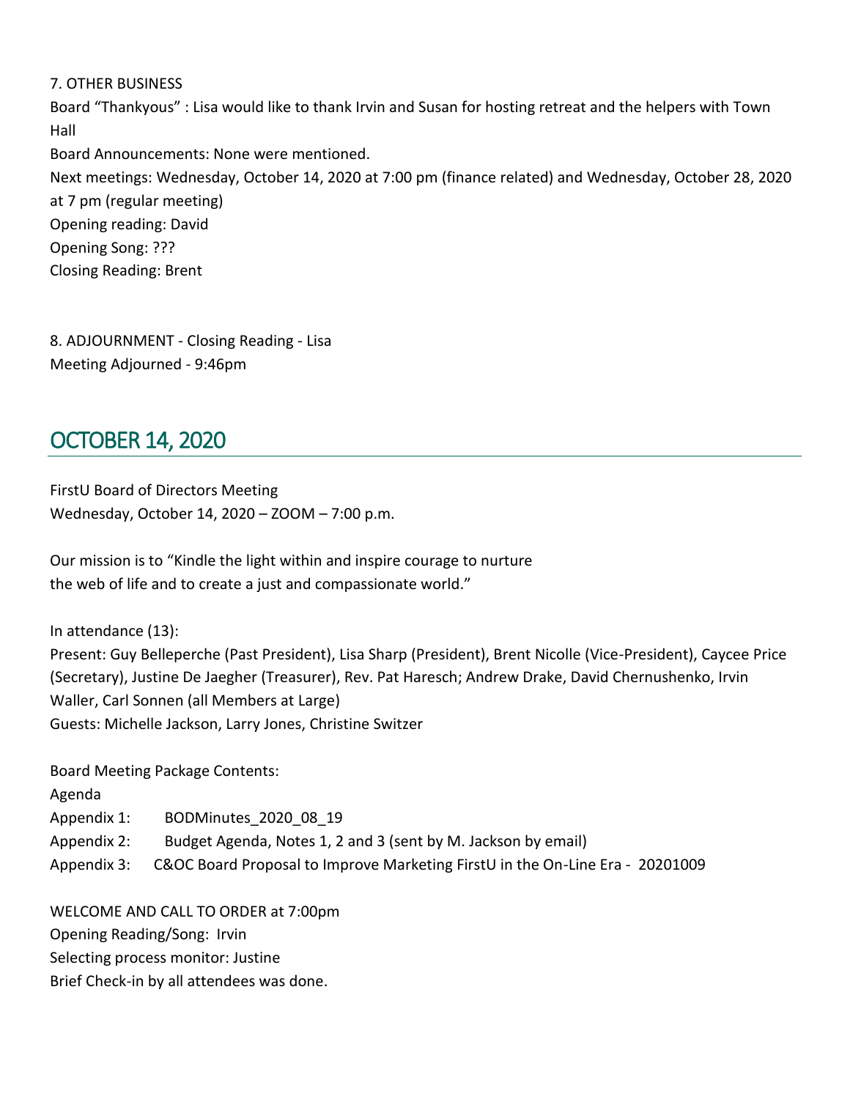#### 7. OTHER BUSINESS

Board "Thankyous" : Lisa would like to thank Irvin and Susan for hosting retreat and the helpers with Town Hall

Board Announcements: None were mentioned.

Next meetings: Wednesday, October 14, 2020 at 7:00 pm (finance related) and Wednesday, October 28, 2020 at 7 pm (regular meeting) Opening reading: David Opening Song: ??? Closing Reading: Brent

8. ADJOURNMENT - Closing Reading - Lisa Meeting Adjourned - 9:46pm

# <span id="page-34-0"></span>OCTOBER 14, 2020

FirstU Board of Directors Meeting Wednesday, October 14, 2020 – ZOOM – 7:00 p.m.

Our mission is to "Kindle the light within and inspire courage to nurture the web of life and to create a just and compassionate world."

In attendance (13):

Present: Guy Belleperche (Past President), Lisa Sharp (President), Brent Nicolle (Vice-President), Caycee Price (Secretary), Justine De Jaegher (Treasurer), Rev. Pat Haresch; Andrew Drake, David Chernushenko, Irvin Waller, Carl Sonnen (all Members at Large) Guests: Michelle Jackson, Larry Jones, Christine Switzer

Board Meeting Package Contents: Agenda Appendix 1: BODMinutes 2020 08 19 Appendix 2: Budget Agenda, Notes 1, 2 and 3 (sent by M. Jackson by email) Appendix 3: C&OC Board Proposal to Improve Marketing FirstU in the On-Line Era - 20201009

WELCOME AND CALL TO ORDER at 7:00pm Opening Reading/Song: Irvin Selecting process monitor: Justine Brief Check-in by all attendees was done.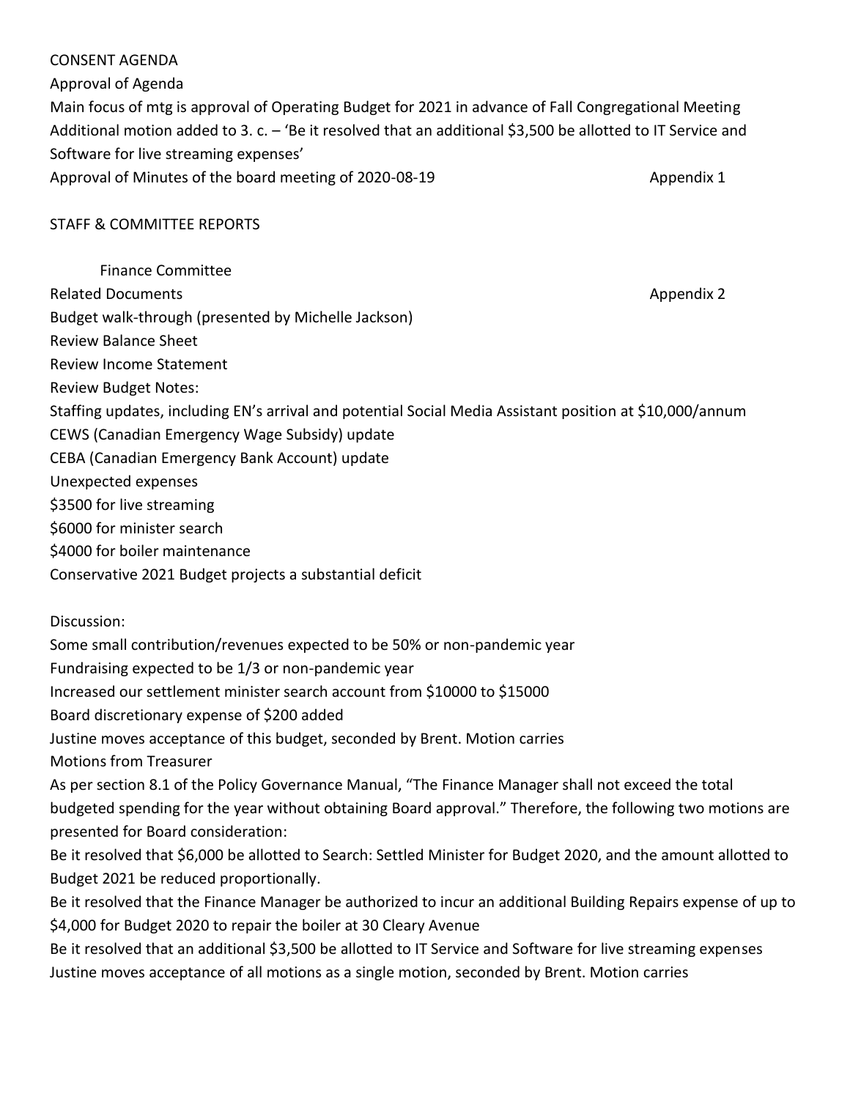#### CONSENT AGENDA

Approval of Agenda

Main focus of mtg is approval of Operating Budget for 2021 in advance of Fall Congregational Meeting Additional motion added to 3. c. – 'Be it resolved that an additional \$3,500 be allotted to IT Service and Software for live streaming expenses'

Approval of Minutes of the board meeting of 2020-08-19 Appendix 1

#### STAFF & COMMITTEE REPORTS

Finance Committee Related Documents **Appendix 2** and the Related Documents Appendix 2 Budget walk-through (presented by Michelle Jackson) Review Balance Sheet Review Income Statement Review Budget Notes: Staffing updates, including EN's arrival and potential Social Media Assistant position at \$10,000/annum CEWS (Canadian Emergency Wage Subsidy) update CEBA (Canadian Emergency Bank Account) update Unexpected expenses \$3500 for live streaming \$6000 for minister search \$4000 for boiler maintenance Conservative 2021 Budget projects a substantial deficit

Discussion:

Some small contribution/revenues expected to be 50% or non-pandemic year

Fundraising expected to be 1/3 or non-pandemic year

Increased our settlement minister search account from \$10000 to \$15000

Board discretionary expense of \$200 added

Justine moves acceptance of this budget, seconded by Brent. Motion carries

Motions from Treasurer

As per section 8.1 of the Policy Governance Manual, "The Finance Manager shall not exceed the total budgeted spending for the year without obtaining Board approval." Therefore, the following two motions are presented for Board consideration:

Be it resolved that \$6,000 be allotted to Search: Settled Minister for Budget 2020, and the amount allotted to Budget 2021 be reduced proportionally.

Be it resolved that the Finance Manager be authorized to incur an additional Building Repairs expense of up to \$4,000 for Budget 2020 to repair the boiler at 30 Cleary Avenue

Be it resolved that an additional \$3,500 be allotted to IT Service and Software for live streaming expenses Justine moves acceptance of all motions as a single motion, seconded by Brent. Motion carries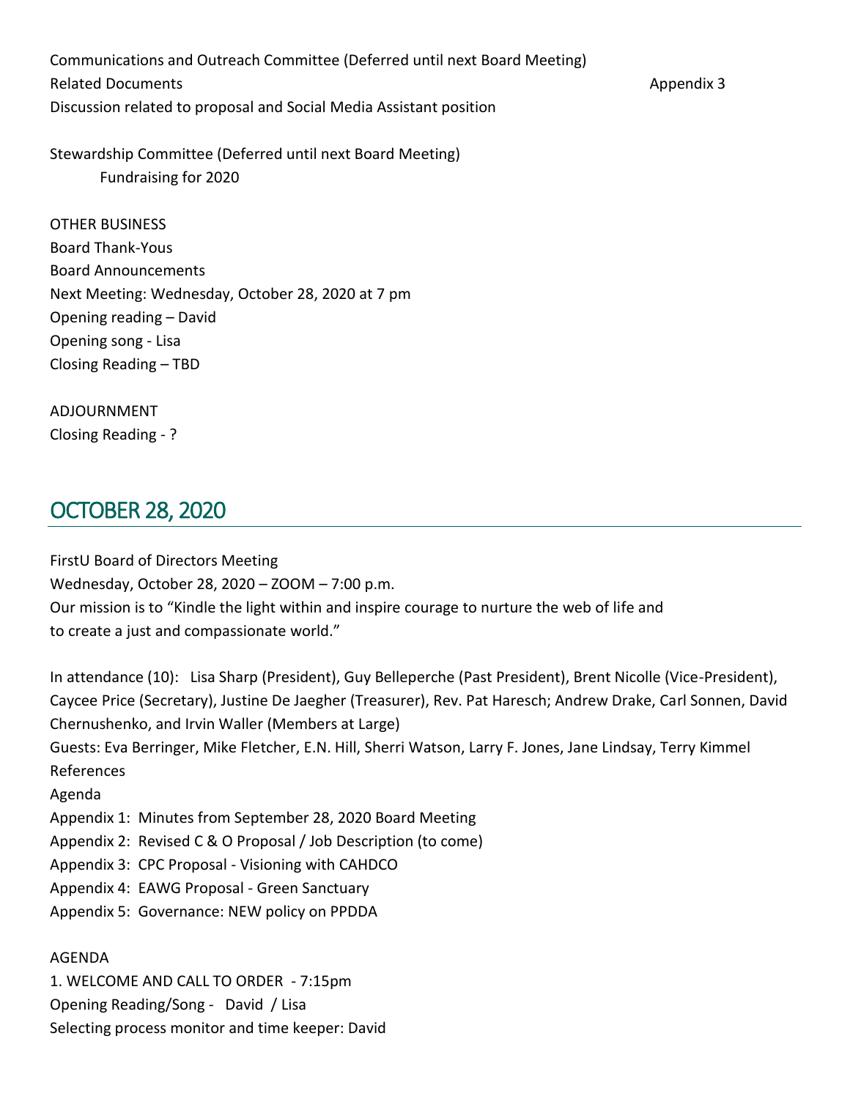Communications and Outreach Committee (Deferred until next Board Meeting) Related Documents **Appendix 3** Appendix 3 Discussion related to proposal and Social Media Assistant position

Stewardship Committee (Deferred until next Board Meeting) Fundraising for 2020

OTHER BUSINESS Board Thank-Yous Board Announcements Next Meeting: Wednesday, October 28, 2020 at 7 pm Opening reading – David Opening song - Lisa Closing Reading – TBD

ADJOURNMENT

Closing Reading - ?

# <span id="page-36-0"></span>OCTOBER 28, 2020

FirstU Board of Directors Meeting Wednesday, October 28, 2020 – ZOOM – 7:00 p.m. Our mission is to "Kindle the light within and inspire courage to nurture the web of life and to create a just and compassionate world."

In attendance (10): Lisa Sharp (President), Guy Belleperche (Past President), Brent Nicolle (Vice-President), Caycee Price (Secretary), Justine De Jaegher (Treasurer), Rev. Pat Haresch; Andrew Drake, Carl Sonnen, David Chernushenko, and Irvin Waller (Members at Large) Guests: Eva Berringer, Mike Fletcher, E.N. Hill, Sherri Watson, Larry F. Jones, Jane Lindsay, Terry Kimmel References Agenda Appendix 1: Minutes from September 28, 2020 Board Meeting Appendix 2: Revised C & O Proposal / Job Description (to come) Appendix 3: CPC Proposal - Visioning with CAHDCO Appendix 4: EAWG Proposal - Green Sanctuary Appendix 5: Governance: NEW policy on PPDDA

1. WELCOME AND CALL TO ORDER - 7:15pm Opening Reading/Song - David / Lisa Selecting process monitor and time keeper: David

AGENDA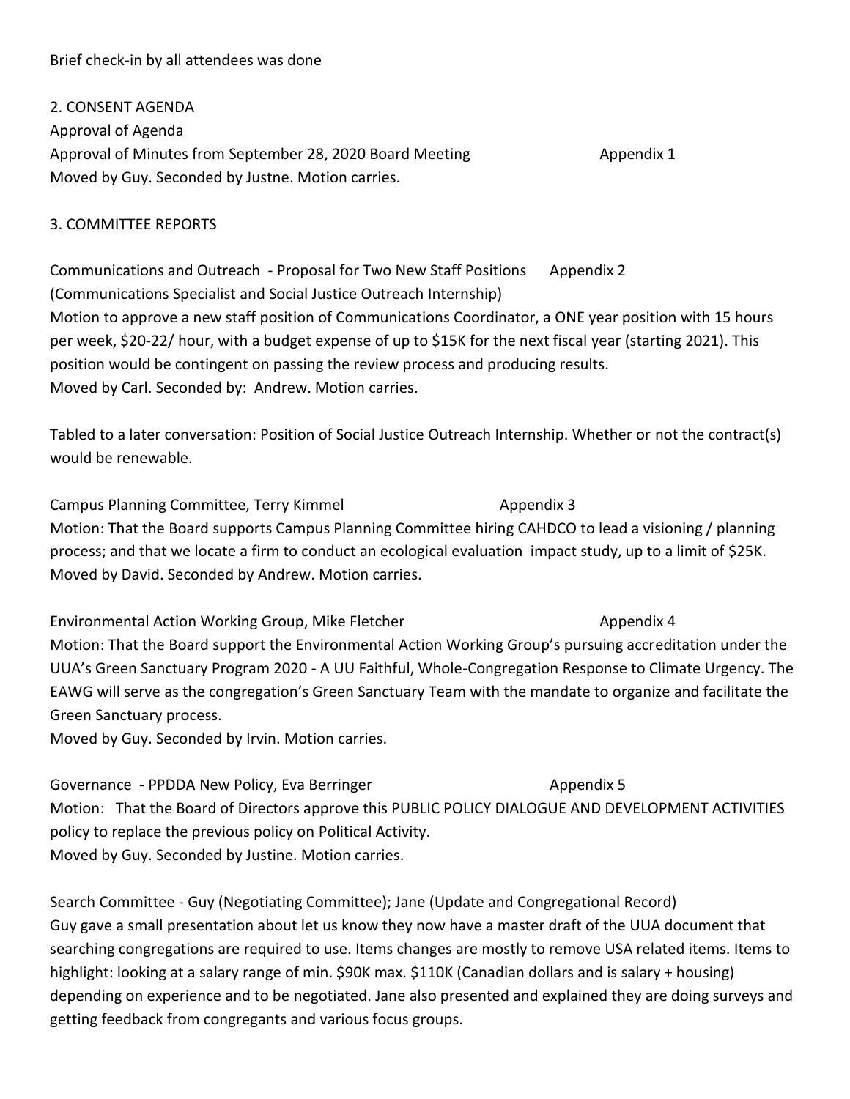#### Brief check-in by all attendees was done

#### 2. CONSENT AGENDA

Approval of Agenda Approval of Minutes from September 28, 2020 Board Meeting Appendix 1 Moved by Guy. Seconded by Justne. Motion carries.

#### 3. COMMITTEE REPORTS

Communications and Outreach - Proposal for Two New Staff Positions Appendix 2 (Communications Specialist and Social Justice Outreach Internship) Motion to approve a new staff position of Communications Coordinator, a ONE year position with 15 hours per week, \$20-22/ hour, with a budget expense of up to \$15K for the next fiscal year (starting 2021). This position would be contingent on passing the review process and producing results. Moved by Carl. Seconded by: Andrew. Motion carries.

Tabled to a later conversation: Position of Social Justice Outreach Internship. Whether or not the contract(s) would be renewable.

Campus Planning Committee, Terry Kimmel **Appendix 3** Appendix 3 Motion: That the Board supports Campus Planning Committee hiring CAHDCO to lead a visioning / planning process; and that we locate a firm to conduct an ecological evaluation impact study, up to a limit of \$25K. Moved by David. Seconded by Andrew. Motion carries.

Environmental Action Working Group, Mike Fletcher Appendix 4 Motion: That the Board support the Environmental Action Working Group's pursuing accreditation under the UUA's Green Sanctuary Program 2020 - A UU Faithful, Whole-Congregation Response to Climate Urgency. The EAWG will serve as the congregation's Green Sanctuary Team with the mandate to organize and facilitate the Green Sanctuary process.

Moved by Guy. Seconded by Irvin. Motion carries.

Governance - PPDDA New Policy, Eva Berringer Appendix 5 Motion: That the Board of Directors approve this PUBLIC POLICY DIALOGUE AND DEVELOPMENT ACTIVITIES policy to replace the previous policy on Political Activity. Moved by Guy. Seconded by Justine. Motion carries.

Search Committee - Guy (Negotiating Committee); Jane (Update and Congregational Record) Guy gave a small presentation about let us know they now have a master draft of the UUA document that searching congregations are required to use. Items changes are mostly to remove USA related items. Items to highlight: looking at a salary range of min. \$90K max. \$110K (Canadian dollars and is salary + housing) depending on experience and to be negotiated. Jane also presented and explained they are doing surveys and getting feedback from congregants and various focus groups.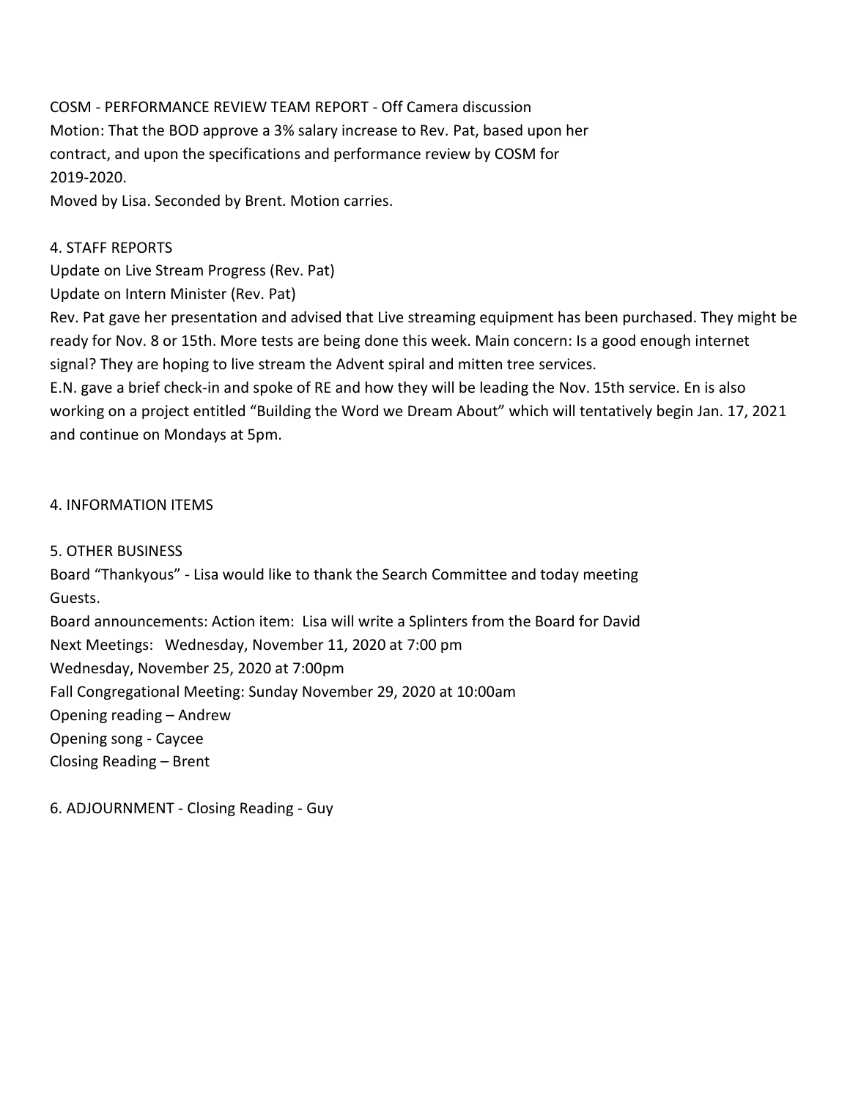COSM - PERFORMANCE REVIEW TEAM REPORT - Off Camera discussion Motion: That the BOD approve a 3% salary increase to Rev. Pat, based upon her contract, and upon the specifications and performance review by COSM for 2019-2020.

Moved by Lisa. Seconded by Brent. Motion carries.

#### 4. STAFF REPORTS

Update on Live Stream Progress (Rev. Pat)

Update on Intern Minister (Rev. Pat)

Rev. Pat gave her presentation and advised that Live streaming equipment has been purchased. They might be ready for Nov. 8 or 15th. More tests are being done this week. Main concern: Is a good enough internet signal? They are hoping to live stream the Advent spiral and mitten tree services.

E.N. gave a brief check-in and spoke of RE and how they will be leading the Nov. 15th service. En is also working on a project entitled "Building the Word we Dream About" which will tentatively begin Jan. 17, 2021 and continue on Mondays at 5pm.

#### 4. INFORMATION ITEMS

5. OTHER BUSINESS

Board "Thankyous" - Lisa would like to thank the Search Committee and today meeting Guests.

Board announcements: Action item: Lisa will write a Splinters from the Board for David Next Meetings: Wednesday, November 11, 2020 at 7:00 pm Wednesday, November 25, 2020 at 7:00pm Fall Congregational Meeting: Sunday November 29, 2020 at 10:00am Opening reading – Andrew

Opening song - Caycee

Closing Reading – Brent

6. ADJOURNMENT - Closing Reading - Guy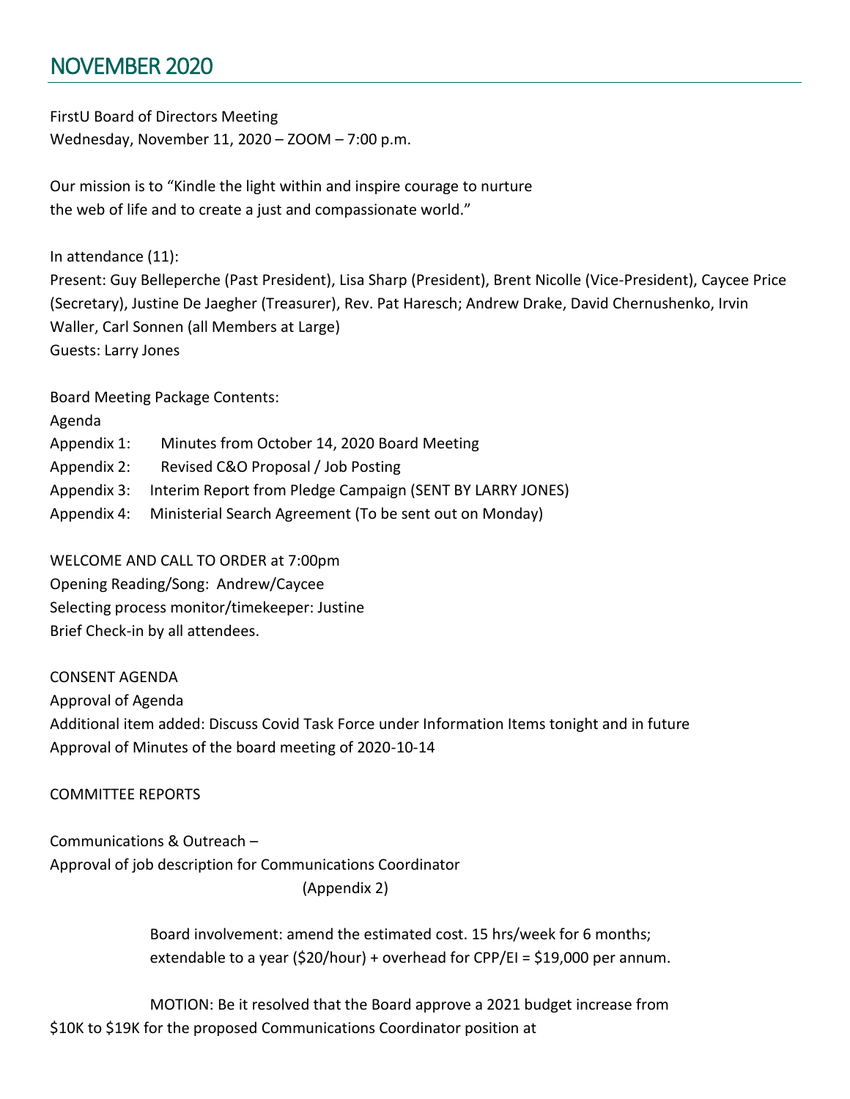# <span id="page-39-0"></span>NOVEMBER 2020

FirstU Board of Directors Meeting Wednesday, November 11, 2020 – ZOOM – 7:00 p.m.

Our mission is to "Kindle the light within and inspire courage to nurture the web of life and to create a just and compassionate world."

In attendance (11):

Present: Guy Belleperche (Past President), Lisa Sharp (President), Brent Nicolle (Vice-President), Caycee Price (Secretary), Justine De Jaegher (Treasurer), Rev. Pat Haresch; Andrew Drake, David Chernushenko, Irvin Waller, Carl Sonnen (all Members at Large) Guests: Larry Jones

Board Meeting Package Contents:

| Agenda      |                                                                       |
|-------------|-----------------------------------------------------------------------|
| Appendix 1: | Minutes from October 14, 2020 Board Meeting                           |
| Appendix 2: | Revised C&O Proposal / Job Posting                                    |
|             | Appendix 3: Interim Report from Pledge Campaign (SENT BY LARRY JONES) |
|             | Appendix 4: Ministerial Search Agreement (To be sent out on Monday)   |
|             |                                                                       |

WELCOME AND CALL TO ORDER at 7:00pm Opening Reading/Song: Andrew/Caycee Selecting process monitor/timekeeper: Justine Brief Check-in by all attendees.

CONSENT AGENDA

Approval of Agenda

Additional item added: Discuss Covid Task Force under Information Items tonight and in future Approval of Minutes of the board meeting of 2020-10-14

COMMITTEE REPORTS

Communications & Outreach – Approval of job description for Communications Coordinator (Appendix 2)

> Board involvement: amend the estimated cost. 15 hrs/week for 6 months; extendable to a year (\$20/hour) + overhead for CPP/EI = \$19,000 per annum.

MOTION: Be it resolved that the Board approve a 2021 budget increase from \$10K to \$19K for the proposed Communications Coordinator position at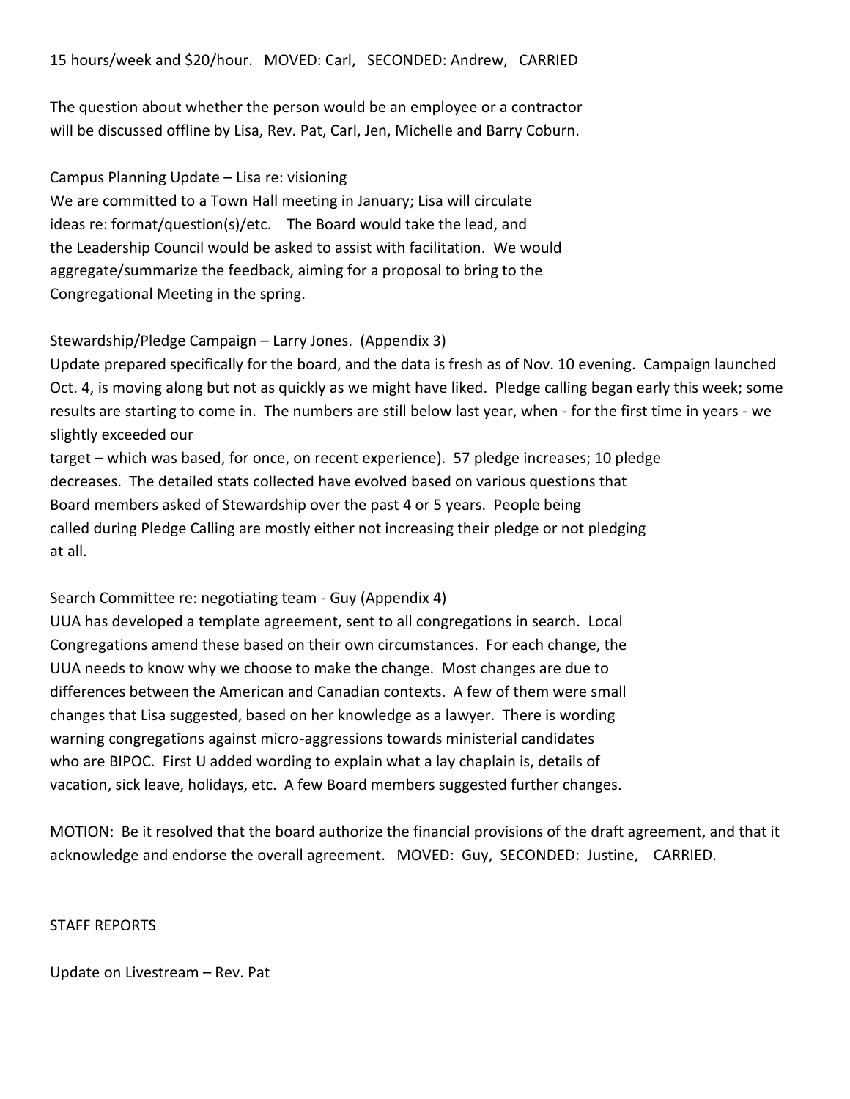The question about whether the person would be an employee or a contractor will be discussed offline by Lisa, Rev. Pat, Carl, Jen, Michelle and Barry Coburn.

#### Campus Planning Update – Lisa re: visioning

We are committed to a Town Hall meeting in January; Lisa will circulate ideas re: format/question(s)/etc. The Board would take the lead, and the Leadership Council would be asked to assist with facilitation. We would aggregate/summarize the feedback, aiming for a proposal to bring to the Congregational Meeting in the spring.

#### Stewardship/Pledge Campaign – Larry Jones. (Appendix 3)

Update prepared specifically for the board, and the data is fresh as of Nov. 10 evening. Campaign launched Oct. 4, is moving along but not as quickly as we might have liked. Pledge calling began early this week; some results are starting to come in. The numbers are still below last year, when - for the first time in years - we slightly exceeded our

target – which was based, for once, on recent experience). 57 pledge increases; 10 pledge decreases. The detailed stats collected have evolved based on various questions that Board members asked of Stewardship over the past 4 or 5 years. People being called during Pledge Calling are mostly either not increasing their pledge or not pledging at all.

#### Search Committee re: negotiating team - Guy (Appendix 4)

UUA has developed a template agreement, sent to all congregations in search. Local Congregations amend these based on their own circumstances. For each change, the UUA needs to know why we choose to make the change. Most changes are due to differences between the American and Canadian contexts. A few of them were small changes that Lisa suggested, based on her knowledge as a lawyer. There is wording warning congregations against micro-aggressions towards ministerial candidates who are BIPOC. First U added wording to explain what a lay chaplain is, details of vacation, sick leave, holidays, etc. A few Board members suggested further changes.

MOTION: Be it resolved that the board authorize the financial provisions of the draft agreement, and that it acknowledge and endorse the overall agreement. MOVED: Guy, SECONDED: Justine, CARRIED.

#### STAFF REPORTS

Update on Livestream – Rev. Pat